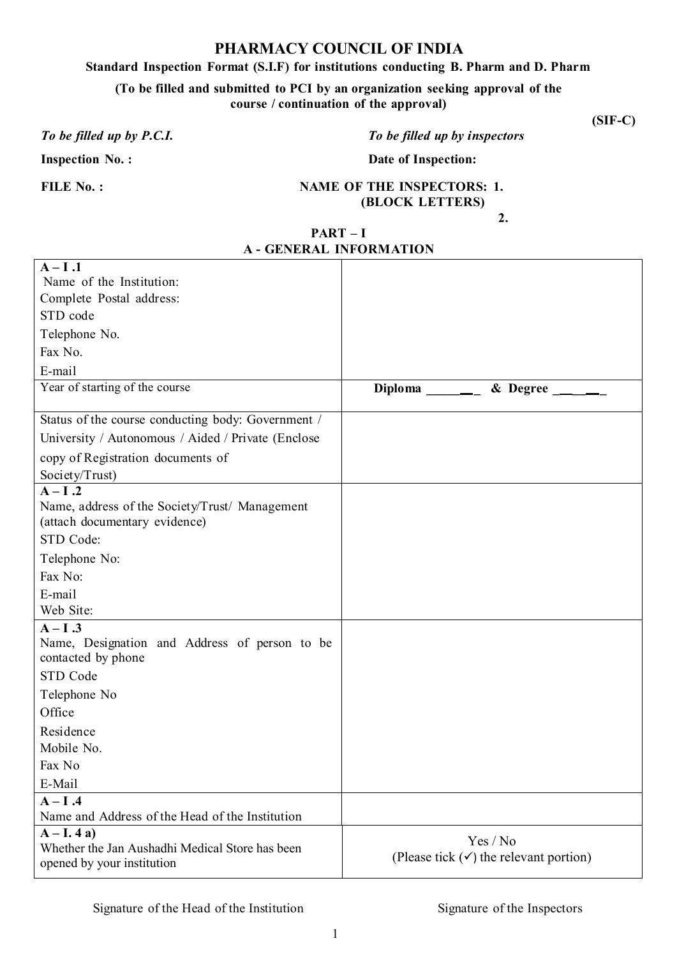### **PHARMACY COUNCIL OF INDIA**

#### **Standard Inspection Format (S.I.F) for institutions conducting B. Pharm and D. Pharm**

**(To be filled and submitted to PCI by an organization seeking approval of the course / continuation of the approval)**

### *To be filled up by P.C.I. To be filled up by inspectors*

**Inspection No.:** Date of Inspection:

#### **FILE No. : NAME OF THE INSPECTORS: 1. (BLOCK LETTERS)**

**2.** 

**(SIF-C)**

| PART – I                     |
|------------------------------|
| <b>A-GENERAL INFORMATION</b> |

| $A-I.1$                                                                                   |                                                                       |
|-------------------------------------------------------------------------------------------|-----------------------------------------------------------------------|
| Name of the Institution:                                                                  |                                                                       |
| Complete Postal address:                                                                  |                                                                       |
| STD code                                                                                  |                                                                       |
| Telephone No.                                                                             |                                                                       |
| Fax No.                                                                                   |                                                                       |
| E-mail                                                                                    |                                                                       |
| Year of starting of the course                                                            | Diploma $\_\_\_\_\_\_\_\_\_\$<br>$&$ Degree $\_\_\_\_\_\_\_\_\_\_\_\$ |
| Status of the course conducting body: Government /                                        |                                                                       |
| University / Autonomous / Aided / Private (Enclose                                        |                                                                       |
| copy of Registration documents of                                                         |                                                                       |
| Society/Trust)                                                                            |                                                                       |
| $A-I.2$                                                                                   |                                                                       |
| Name, address of the Society/Trust/ Management                                            |                                                                       |
| (attach documentary evidence)                                                             |                                                                       |
| STD Code:                                                                                 |                                                                       |
| Telephone No:                                                                             |                                                                       |
| Fax No:                                                                                   |                                                                       |
| E-mail                                                                                    |                                                                       |
| Web Site:                                                                                 |                                                                       |
| $A-I.3$<br>Name, Designation and Address of person to be<br>contacted by phone            |                                                                       |
| STD Code                                                                                  |                                                                       |
| Telephone No                                                                              |                                                                       |
| Office                                                                                    |                                                                       |
| Residence                                                                                 |                                                                       |
| Mobile No.                                                                                |                                                                       |
| Fax No                                                                                    |                                                                       |
| E-Mail                                                                                    |                                                                       |
| $A - I$ .4                                                                                |                                                                       |
| Name and Address of the Head of the Institution                                           |                                                                       |
| $A-I.4a$<br>Whether the Jan Aushadhi Medical Store has been<br>opened by your institution | Yes / No<br>(Please tick $(\checkmark)$ ) the relevant portion)       |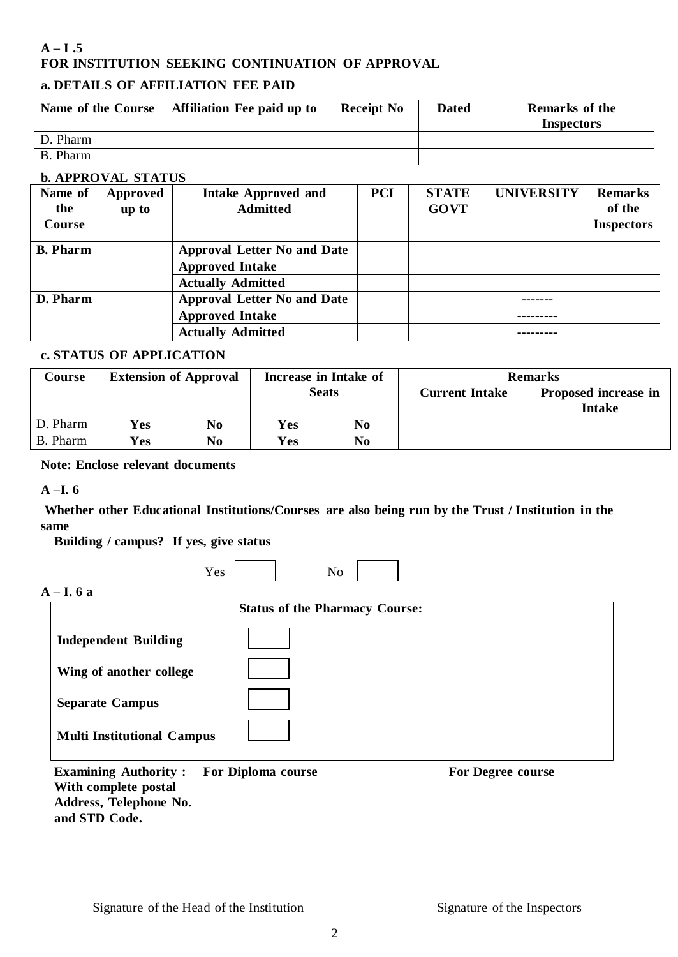### $A - I$ .5 **FOR INSTITUTION SEEKING CONTINUATION OF APPROVAL**

### **a. DETAILS OF AFFILIATION FEE PAID**

| Name of the Course | <b>Affiliation Fee paid up to</b> | <b>Receipt No</b> | <b>Dated</b> | <b>Remarks of the</b><br><b>Inspectors</b> |
|--------------------|-----------------------------------|-------------------|--------------|--------------------------------------------|
| D. Pharm           |                                   |                   |              |                                            |
| B. Pharm           |                                   |                   |              |                                            |

#### **b. APPROVAL STATUS**

| Name of         | Approved | <b>Intake Approved and</b>         | <b>PCI</b> | <b>STATE</b> | <b>UNIVERSITY</b> | <b>Remarks</b>    |
|-----------------|----------|------------------------------------|------------|--------------|-------------------|-------------------|
| the             | up to    | <b>Admitted</b>                    |            | <b>GOVT</b>  |                   | of the            |
| Course          |          |                                    |            |              |                   | <b>Inspectors</b> |
| <b>B.</b> Pharm |          | <b>Approval Letter No and Date</b> |            |              |                   |                   |
|                 |          | <b>Approved Intake</b>             |            |              |                   |                   |
|                 |          | <b>Actually Admitted</b>           |            |              |                   |                   |
| D. Pharm        |          | <b>Approval Letter No and Date</b> |            |              |                   |                   |
|                 |          | <b>Approved Intake</b>             |            |              |                   |                   |
|                 |          | <b>Actually Admitted</b>           |            |              |                   |                   |

#### **c. STATUS OF APPLICATION**

| Course   | <b>Extension of Approval</b> |    | Increase in Intake of |                |                       | <b>Remarks</b>                        |
|----------|------------------------------|----|-----------------------|----------------|-----------------------|---------------------------------------|
|          |                              |    | <b>Seats</b>          |                | <b>Current Intake</b> | Proposed increase in<br><b>Intake</b> |
| D. Pharm | Yes                          | No | Yes                   | N <sub>0</sub> |                       |                                       |
| B. Pharm | <b>Yes</b>                   | No | <b>Yes</b>            | N <sub>0</sub> |                       |                                       |

### **Note: Enclose relevant documents**

#### **A –I. 6**

**Whether other Educational Institutions/Courses are also being run by the Trust / Institution in the same**

**Building / campus? If yes, give status**

| --<br>- |  |  |  |  |
|---------|--|--|--|--|
|---------|--|--|--|--|

### **A – I. 6 a**

| <b>Status of the Pharmacy Course:</b> |  |  |  |  |
|---------------------------------------|--|--|--|--|
| <b>Independent Building</b>           |  |  |  |  |
| Wing of another college               |  |  |  |  |
| <b>Separate Campus</b>                |  |  |  |  |
| <b>Multi Institutional Campus</b>     |  |  |  |  |
|                                       |  |  |  |  |

**Examining Authority : For Diploma course For Degree course With complete postal Address, Telephone No. and STD Code.**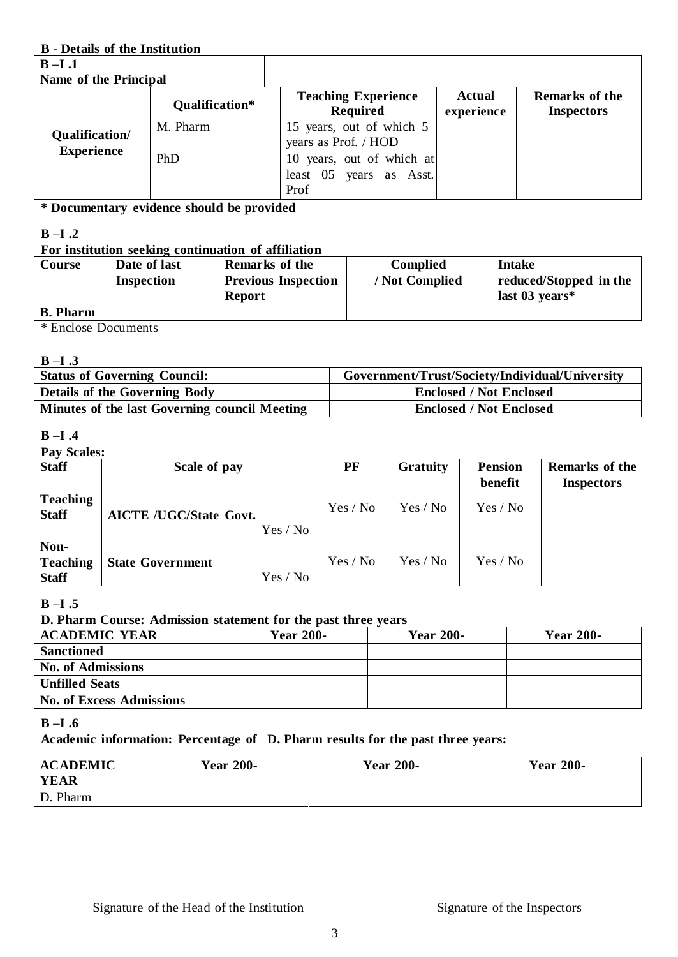#### **B - Details of the Institution**

| $B-I.1$               |                |                                                              |                             |                                     |
|-----------------------|----------------|--------------------------------------------------------------|-----------------------------|-------------------------------------|
| Name of the Principal |                |                                                              |                             |                                     |
|                       | Qualification* | <b>Teaching Experience</b><br><b>Required</b>                | <b>Actual</b><br>experience | Remarks of the<br><b>Inspectors</b> |
| Qualification/        | M. Pharm       | 15 years, out of which 5<br>years as Prof. / HOD             |                             |                                     |
| <b>Experience</b>     | PhD            | 10 years, out of which at<br>least 05 years as Asst.<br>Prof |                             |                                     |

**\* Documentary evidence should be provided**

#### **B –I .2**

#### **For institution seeking continuation of affiliation**

| Course                                                                                                    | Date of last<br>Inspection | <b>Remarks of the</b><br><b>Previous Inspection</b><br><b>Report</b> | <b>Complied</b><br>/ Not Complied | Intake<br>reduced/Stopped in the<br>last $03$ years* |
|-----------------------------------------------------------------------------------------------------------|----------------------------|----------------------------------------------------------------------|-----------------------------------|------------------------------------------------------|
| <b>B.</b> Pharm                                                                                           |                            |                                                                      |                                   |                                                      |
| $\mathbf{a}$ $\mathbf{b}$ $\mathbf{c}$ $\mathbf{c}$ $\mathbf{d}$ $\mathbf{d}$<br>$\overline{\phantom{a}}$ |                            |                                                                      |                                   |                                                      |

\* Enclose Documents

#### **B –I .3**

| <b>Status of Governing Council:</b>           | Government/Trust/Society/Individual/University |
|-----------------------------------------------|------------------------------------------------|
| <b>Details of the Governing Body</b>          | <b>Enclosed / Not Enclosed</b>                 |
| Minutes of the last Governing council Meeting | <b>Enclosed / Not Enclosed</b>                 |

#### **B –I .4**

#### **Pay Scales:**

| <b>Staff</b>                            | Scale of pay                              | PF       | <b>Gratuity</b> | <b>Pension</b><br>benefit | Remarks of the<br><b>Inspectors</b> |
|-----------------------------------------|-------------------------------------------|----------|-----------------|---------------------------|-------------------------------------|
| <b>Teaching</b><br><b>Staff</b>         | <b>AICTE /UGC/State Govt.</b><br>Yes / No | Yes / No | Yes / No        | Yes / No                  |                                     |
| Non-<br><b>Teaching</b><br><b>Staff</b> | <b>State Government</b><br>Yes / No       | Yes / No | Yes / No        | Yes / No                  |                                     |

### **B –I .5**

#### **D. Pharm Course: Admission statement for the past three years**

| <b>ACADEMIC YEAR</b>            | <b>Year 200-</b> | <b>Year 200-</b> | <b>Year 200-</b> |
|---------------------------------|------------------|------------------|------------------|
| <b>Sanctioned</b>               |                  |                  |                  |
| <b>No. of Admissions</b>        |                  |                  |                  |
| <b>Unfilled Seats</b>           |                  |                  |                  |
| <b>No. of Excess Admissions</b> |                  |                  |                  |

#### **B –I .6**

### **Academic information: Percentage of D. Pharm results for the past three years:**

| <b>ACADEMIC</b><br>YEAR | <b>Year 200-</b> | <b>Year 200-</b> | <b>Year 200-</b> |
|-------------------------|------------------|------------------|------------------|
| D. Pharm                |                  |                  |                  |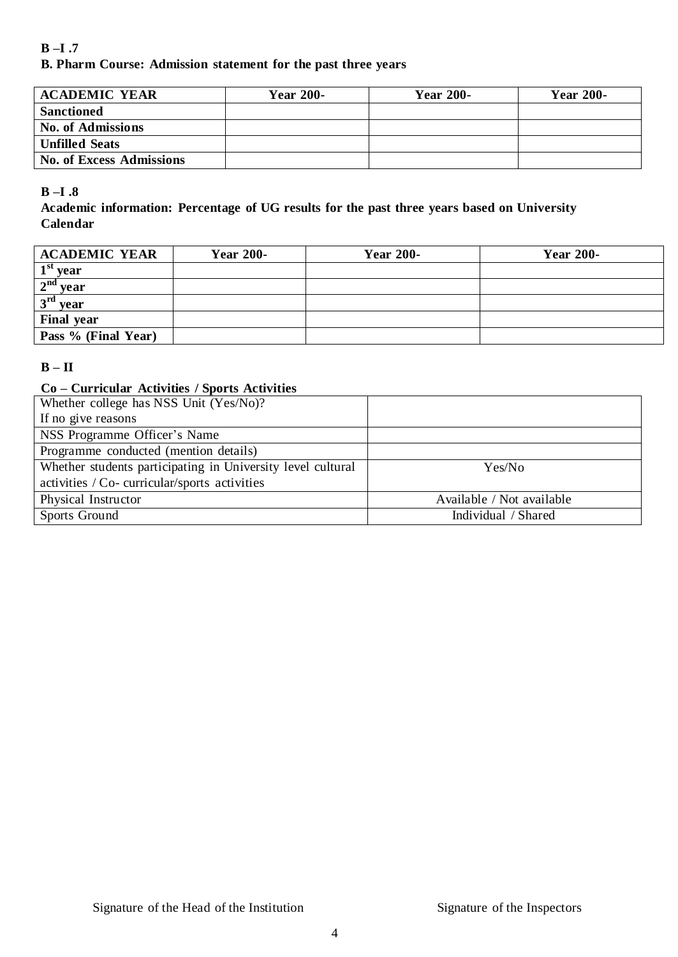### **B –I .7 B. Pharm Course: Admission statement for the past three years**

| <b>ACADEMIC YEAR</b>            | <b>Year 200-</b> | <b>Year 200-</b> | <b>Year 200-</b> |
|---------------------------------|------------------|------------------|------------------|
| <b>Sanctioned</b>               |                  |                  |                  |
| <b>No. of Admissions</b>        |                  |                  |                  |
| <b>Unfilled Seats</b>           |                  |                  |                  |
| <b>No. of Excess Admissions</b> |                  |                  |                  |

### **B –I .8**

**Academic information: Percentage of UG results for the past three years based on University Calendar**

| <b>ACADEMIC YEAR</b> | <b>Year 200-</b> | <b>Year 200-</b> | <b>Year 200-</b> |
|----------------------|------------------|------------------|------------------|
| $1st$ year           |                  |                  |                  |
| $2nd$ year           |                  |                  |                  |
| $3rd$ year           |                  |                  |                  |
| <b>Final year</b>    |                  |                  |                  |
| Pass % (Final Year)  |                  |                  |                  |

### $\mathbf{B} - \mathbf{H}$

### **Co – Curricular Activities / Sports Activities**

| Whether college has NSS Unit (Yes/No)?                      |                           |
|-------------------------------------------------------------|---------------------------|
| If no give reasons                                          |                           |
| NSS Programme Officer's Name                                |                           |
| Programme conducted (mention details)                       |                           |
| Whether students participating in University level cultural | Yes/No                    |
| activities / Co- curricular/sports activities               |                           |
| Physical Instructor                                         | Available / Not available |
| Sports Ground                                               | Individual / Shared       |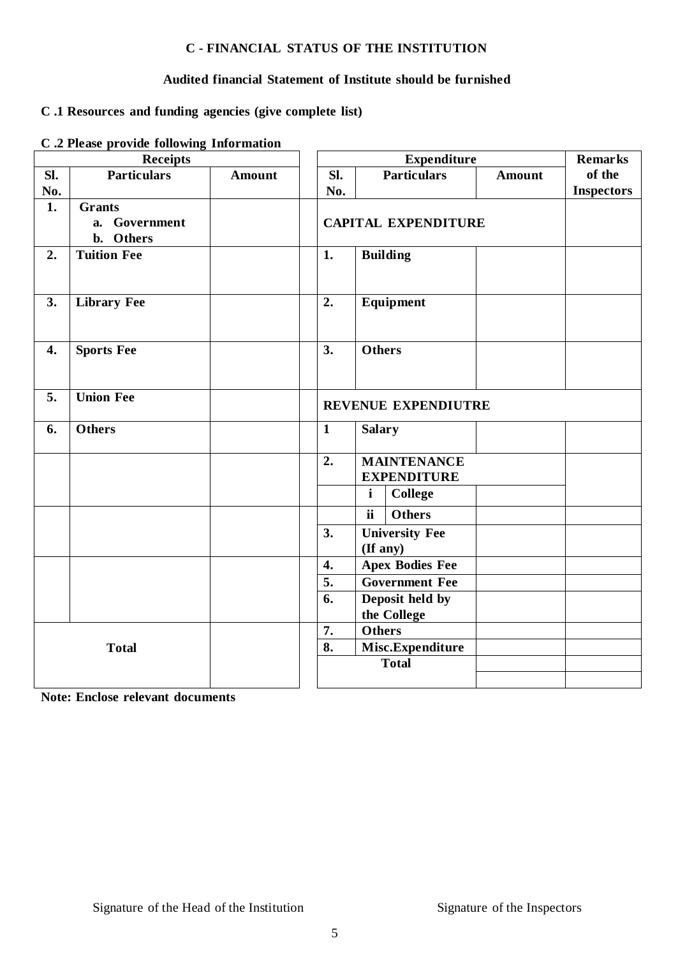#### **C - FINANCIAL STATUS OF THE INSTITUTION**

### **Audited financial Statement of Institute should be furnished**

### **C .1 Resources and funding agencies (give complete list)**

#### **C .2 Please provide following Information**

|     | <b>Receipts</b>          |               |                               | <b>Expenditure</b>     |                            |               |                   |
|-----|--------------------------|---------------|-------------------------------|------------------------|----------------------------|---------------|-------------------|
| SI. | <b>Particulars</b>       | <b>Amount</b> | SI.                           |                        | <b>Particulars</b>         | <b>Amount</b> | of the            |
| No. |                          |               | No.                           |                        |                            |               | <b>Inspectors</b> |
| 1.  | <b>Grants</b>            |               |                               |                        |                            |               |                   |
|     | a. Government            |               |                               |                        | <b>CAPITAL EXPENDITURE</b> |               |                   |
|     | Others<br>$\mathbf{b}$ . |               |                               |                        |                            |               |                   |
| 2.  | <b>Tuition Fee</b>       |               | 1.                            | <b>Building</b>        |                            |               |                   |
|     |                          |               |                               |                        |                            |               |                   |
| 3.  | <b>Library Fee</b>       |               | 2.                            | Equipment              |                            |               |                   |
|     |                          |               |                               |                        |                            |               |                   |
|     |                          |               |                               |                        |                            |               |                   |
| 4.  | <b>Sports Fee</b>        |               | 3.                            | <b>Others</b>          |                            |               |                   |
|     |                          |               |                               |                        |                            |               |                   |
|     |                          |               |                               |                        |                            |               |                   |
| 5.  | <b>Union Fee</b>         |               | REVENUE EXPENDIUTRE           |                        |                            |               |                   |
| 6.  | <b>Others</b>            |               | <b>Salary</b><br>$\mathbf{1}$ |                        |                            |               |                   |
|     |                          |               |                               |                        |                            |               |                   |
|     |                          |               | 2.                            |                        | <b>MAINTENANCE</b>         |               |                   |
|     |                          |               |                               | <b>EXPENDITURE</b>     |                            |               |                   |
|     |                          |               |                               | $\mathbf{i}$           | <b>College</b>             |               |                   |
|     |                          |               |                               | ii                     | <b>Others</b>              |               |                   |
|     |                          |               | 3.                            | <b>University Fee</b>  |                            |               |                   |
|     |                          |               |                               | (If any)               |                            |               |                   |
|     |                          |               | 4.                            | <b>Apex Bodies Fee</b> |                            |               |                   |
|     |                          |               | 5.                            | <b>Government Fee</b>  |                            |               |                   |
|     |                          |               |                               | Deposit held by<br>6.  |                            |               |                   |
|     |                          |               |                               | the College            |                            |               |                   |
|     |                          |               | 7.                            | <b>Others</b>          |                            |               |                   |
|     | <b>Total</b>             |               | 8.                            |                        | Misc.Expenditure           |               |                   |
|     |                          |               |                               | <b>Total</b>           |                            |               |                   |
|     |                          |               |                               |                        |                            |               |                   |

**Note: Enclose relevant documents**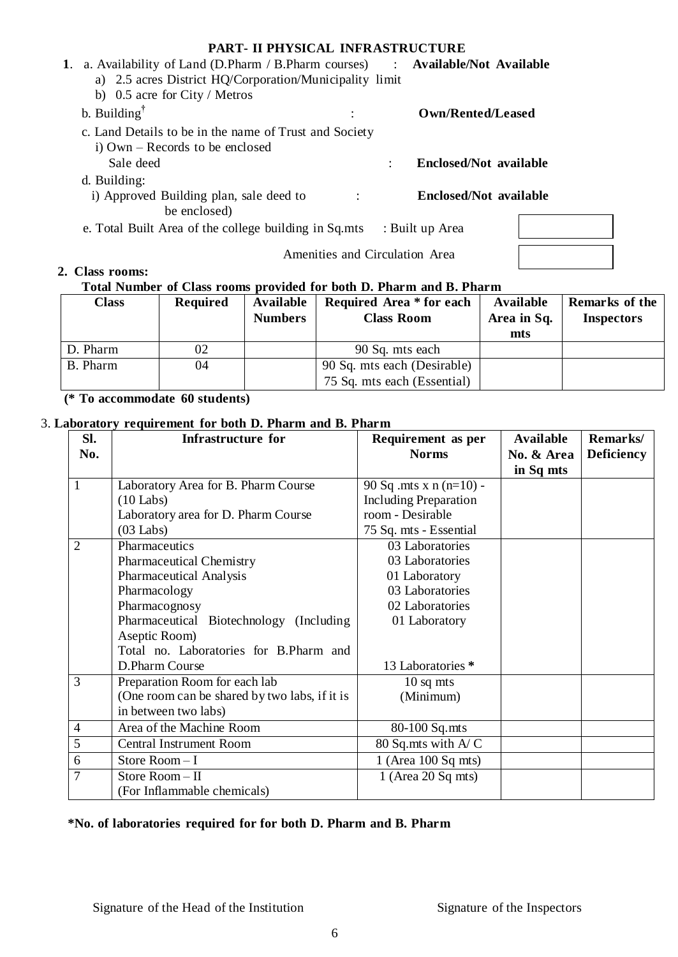#### **PART- II PHYSICAL INFRASTRUCTURE**

|    | <b>PART- II PHYSICAL INFRASTRUCTURE</b>                                       |  |                               |  |  |  |  |
|----|-------------------------------------------------------------------------------|--|-------------------------------|--|--|--|--|
| 1. | a. Availability of Land (D.Pharm / B.Pharm courses) : Available/Not Available |  |                               |  |  |  |  |
|    | a) 2.5 acres District HQ/Corporation/Municipality limit                       |  |                               |  |  |  |  |
|    | b) $0.5$ acre for City / Metros                                               |  |                               |  |  |  |  |
|    | b. Building $^{\dagger}$                                                      |  | Own/Rented/Leased             |  |  |  |  |
|    | c. Land Details to be in the name of Trust and Society                        |  |                               |  |  |  |  |
|    | i) Own – Records to be enclosed                                               |  |                               |  |  |  |  |
|    | Sale deed                                                                     |  | <b>Enclosed/Not available</b> |  |  |  |  |
|    | d. Building:                                                                  |  |                               |  |  |  |  |
|    | i) Approved Building plan, sale deed to                                       |  | <b>Enclosed/Not available</b> |  |  |  |  |
|    | be enclosed)                                                                  |  |                               |  |  |  |  |
|    | e. Total Built Area of the college building in Sq.mts                         |  | : Built up Area               |  |  |  |  |
|    | Amenities and Circulation Area                                                |  |                               |  |  |  |  |
|    | 2. Class rooms:                                                               |  |                               |  |  |  |  |

#### **Total Number of Class rooms provided for both D. Pharm and B. Pharm**

| <b>Class</b> | <b>Required</b> | Available<br><b>Numbers</b> | Required Area * for each<br><b>Class Room</b> | Available<br>Area in Sq.<br>mts | <b>Remarks of the</b><br><b>Inspectors</b> |
|--------------|-----------------|-----------------------------|-----------------------------------------------|---------------------------------|--------------------------------------------|
| D. Pharm     | 02              |                             | 90 Sq. mts each                               |                                 |                                            |
| B. Pharm     | 04              |                             | 90 Sq. mts each (Desirable)                   |                                 |                                            |
|              |                 |                             | 75 Sq. mts each (Essential)                   |                                 |                                            |

**(\* To accommodate 60 students)**

### 3. **Laboratory requirement for both D. Pharm and B. Pharm**

| Sl.            | <b>Infrastructure for</b>                     | Requirement as per           | <b>Available</b> | Remarks/          |
|----------------|-----------------------------------------------|------------------------------|------------------|-------------------|
| No.            |                                               | <b>Norms</b>                 | No. & Area       | <b>Deficiency</b> |
|                |                                               |                              | in Sq mts        |                   |
| 1              | Laboratory Area for B. Pharm Course           | 90 Sq .mts x $n(n=10)$ -     |                  |                   |
|                | $(10$ Labs)                                   | <b>Including Preparation</b> |                  |                   |
|                | Laboratory area for D. Pharm Course           | room - Desirable             |                  |                   |
|                | $(03$ Labs)                                   | 75 Sq. mts - Essential       |                  |                   |
| $\overline{2}$ | Pharmaceutics                                 | 03 Laboratories              |                  |                   |
|                | <b>Pharmaceutical Chemistry</b>               | 03 Laboratories              |                  |                   |
|                | <b>Pharmaceutical Analysis</b>                | 01 Laboratory                |                  |                   |
|                | Pharmacology                                  | 03 Laboratories              |                  |                   |
|                | Pharmacognosy                                 | 02 Laboratories              |                  |                   |
|                | Pharmaceutical Biotechnology (Including       | 01 Laboratory                |                  |                   |
|                | Aseptic Room)                                 |                              |                  |                   |
|                | Total no. Laboratories for B.Pharm and        |                              |                  |                   |
|                | D.Pharm Course                                | 13 Laboratories *            |                  |                   |
| 3              | Preparation Room for each lab                 | $10$ sq mts                  |                  |                   |
|                | (One room can be shared by two labs, if it is | (Minimum)                    |                  |                   |
|                | in between two labs)                          |                              |                  |                   |
| $\overline{4}$ | Area of the Machine Room                      | 80-100 Sq.mts                |                  |                   |
| 5              | <b>Central Instrument Room</b>                | 80 Sq.mts with A/C           |                  |                   |
| 6              | Store Room-I                                  | $1$ (Area 100 Sq mts)        |                  |                   |
| 7              | Store Room-II                                 | $1$ (Area 20 Sq mts)         |                  |                   |
|                | (For Inflammable chemicals)                   |                              |                  |                   |

### **\*No. of laboratories required for for both D. Pharm and B. Pharm**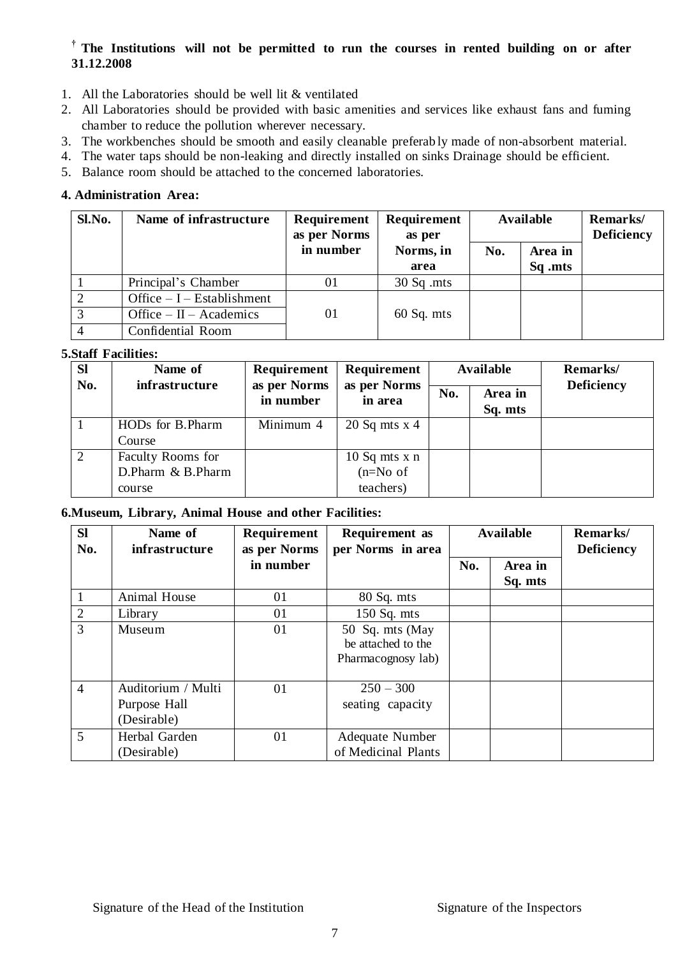### **† The Institutions will not be permitted to run the courses in rented building on or after 31.12.2008**

- 1. All the Laboratories should be well lit & ventilated
- 2. All Laboratories should be provided with basic amenities and services like exhaust fans and fuming chamber to reduce the pollution wherever necessary.
- 3. The workbenches should be smooth and easily cleanable preferab ly made of non-absorbent material.
- 4. The water taps should be non-leaking and directly installed on sinks Drainage should be efficient.
- 5. Balance room should be attached to the concerned laboratories.

#### **4. Administration Area:**

| Sl.No. | Name of infrastructure      | <b>Requirement</b><br>as per Norms | Requirement<br>as per | <b>Available</b> |                    | Remarks/<br><b>Deficiency</b> |
|--------|-----------------------------|------------------------------------|-----------------------|------------------|--------------------|-------------------------------|
|        |                             | in number                          | Norms, in<br>area     | No.              | Area in<br>Sq .mts |                               |
|        | Principal's Chamber         | $_{01}$                            | $30$ Sq .mts          |                  |                    |                               |
|        | Office $-I$ – Establishment |                                    |                       |                  |                    |                               |
| 3      | Office $-$ II $-$ Academics | 01                                 | $60$ Sq. mts          |                  |                    |                               |
|        | Confidential Room           |                                    |                       |                  |                    |                               |

#### **5.Staff Facilities:**

| <b>Sl</b> | Name of           | Requirement               | Requirement                    |  | Available          | Remarks/          |
|-----------|-------------------|---------------------------|--------------------------------|--|--------------------|-------------------|
| No.       | infrastructure    | as per Norms<br>in number | as per Norms<br>No.<br>in area |  | Area in<br>Sq. mts | <b>Deficiency</b> |
|           | HODs for B.Pharm  | Minimum 4                 | $20$ Sq mts x 4                |  |                    |                   |
|           | Course            |                           |                                |  |                    |                   |
|           | Faculty Rooms for |                           | $10$ Sq mts x n                |  |                    |                   |
|           | D.Pharm & B.Pharm |                           | $(n=No of$                     |  |                    |                   |
|           | course            |                           | teachers)                      |  |                    |                   |

#### **6.Museum, Library, Animal House and other Facilities:[**

| <b>Sl</b><br>No. | Name of<br>infrastructure                         | Requirement<br>as per Norms | <b>Requirement</b> as<br>per Norms in area                  | <b>Available</b> |                    | Remarks/<br><b>Deficiency</b> |
|------------------|---------------------------------------------------|-----------------------------|-------------------------------------------------------------|------------------|--------------------|-------------------------------|
|                  |                                                   | in number                   |                                                             | No.              | Area in<br>Sq. mts |                               |
| 1                | Animal House                                      | 01                          | 80 Sq. mts                                                  |                  |                    |                               |
| $\overline{2}$   | Library                                           | 01                          | $150$ Sq. mts                                               |                  |                    |                               |
| 3                | Museum                                            | 01                          | 50 Sq. mts (May<br>be attached to the<br>Pharmacognosy lab) |                  |                    |                               |
| $\overline{4}$   | Auditorium / Multi<br>Purpose Hall<br>(Desirable) | 01                          | $250 - 300$<br>seating capacity                             |                  |                    |                               |
| 5                | Herbal Garden<br>(Desirable)                      | 01                          | Adequate Number<br>of Medicinal Plants                      |                  |                    |                               |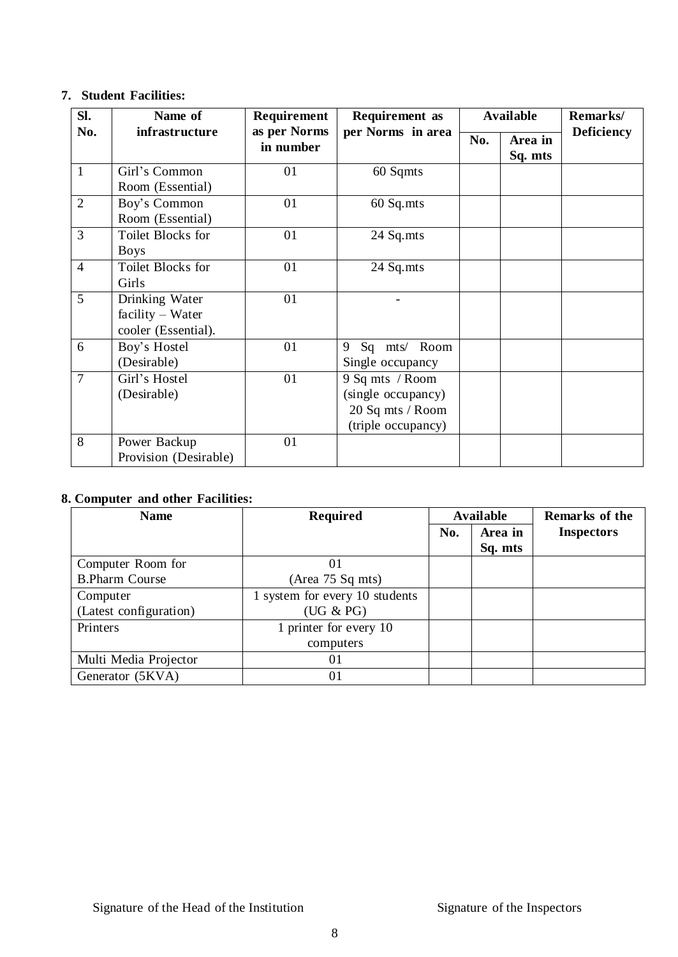### **7. Student Facilities:**

| Sl.            | Name of                                                   | Requirement               | <b>Requirement</b> as                                                           |     | <b>Available</b>   | Remarks/          |
|----------------|-----------------------------------------------------------|---------------------------|---------------------------------------------------------------------------------|-----|--------------------|-------------------|
| No.            | infrastructure                                            | as per Norms<br>in number | per Norms in area                                                               | No. | Area in<br>Sq. mts | <b>Deficiency</b> |
| 1              | Girl's Common<br>Room (Essential)                         | 01                        | 60 Sqmts                                                                        |     |                    |                   |
| $\overline{2}$ | Boy's Common<br>Room (Essential)                          | 01                        | 60 Sq.mts                                                                       |     |                    |                   |
| 3              | <b>Toilet Blocks for</b><br><b>Boys</b>                   | 01                        | 24 Sq.mts                                                                       |     |                    |                   |
| $\overline{4}$ | Toilet Blocks for<br>Girls                                | 01                        | 24 Sq.mts                                                                       |     |                    |                   |
| 5              | Drinking Water<br>facility - Water<br>cooler (Essential). | 01                        |                                                                                 |     |                    |                   |
| 6              | Boy's Hostel<br>(Desirable)                               | 01                        | mts/ Room<br>9<br>Sq<br>Single occupancy                                        |     |                    |                   |
| $\overline{7}$ | Girl's Hostel<br>(Desirable)                              | 01                        | 9 Sq mts / Room<br>(single occupancy)<br>20 Sq mts / Room<br>(triple occupancy) |     |                    |                   |
| 8              | Power Backup<br>Provision (Desirable)                     | 01                        |                                                                                 |     |                    |                   |

### **8. Computer and other Facilities:**

| <b>Name</b>            | <b>Required</b>                |     | <b>Available</b> | Remarks of the    |
|------------------------|--------------------------------|-----|------------------|-------------------|
|                        |                                | No. | Area in          | <b>Inspectors</b> |
|                        |                                |     | Sq. mts          |                   |
| Computer Room for      | 01                             |     |                  |                   |
| <b>B.Pharm Course</b>  | (Area 75 Sq mts)               |     |                  |                   |
| Computer               | 1 system for every 10 students |     |                  |                   |
| (Latest configuration) | (UG & PG)                      |     |                  |                   |
| Printers               | 1 printer for every 10         |     |                  |                   |
|                        | computers                      |     |                  |                   |
| Multi Media Projector  | 01                             |     |                  |                   |
| Generator (5KVA)       | 01                             |     |                  |                   |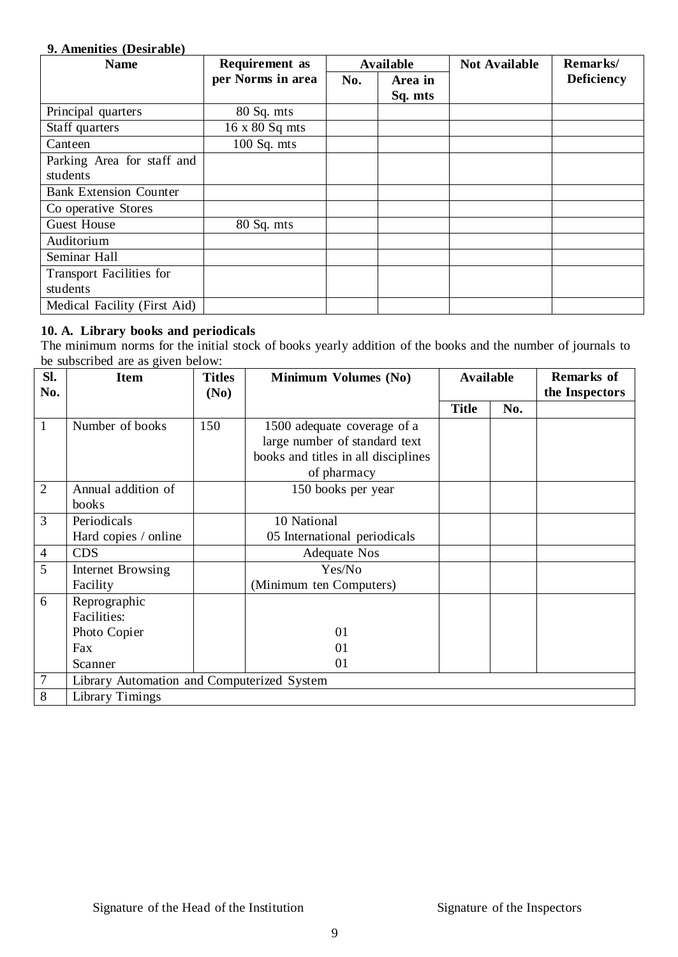#### **9. Amenities (Desirable)**

| <b>Name</b>                     | <b>Requirement</b> as |     | <b>Available</b> | <b>Not Available</b> | Remarks/          |
|---------------------------------|-----------------------|-----|------------------|----------------------|-------------------|
|                                 | per Norms in area     | No. | Area in          |                      | <b>Deficiency</b> |
|                                 |                       |     | Sq. mts          |                      |                   |
| Principal quarters              | 80 Sq. mts            |     |                  |                      |                   |
| Staff quarters                  | 16 x 80 Sq mts        |     |                  |                      |                   |
| Canteen                         | $100$ Sq. mts         |     |                  |                      |                   |
| Parking Area for staff and      |                       |     |                  |                      |                   |
| students                        |                       |     |                  |                      |                   |
| <b>Bank Extension Counter</b>   |                       |     |                  |                      |                   |
| Co operative Stores             |                       |     |                  |                      |                   |
| <b>Guest House</b>              | 80 Sq. mts            |     |                  |                      |                   |
| Auditorium                      |                       |     |                  |                      |                   |
| Seminar Hall                    |                       |     |                  |                      |                   |
| <b>Transport Facilities for</b> |                       |     |                  |                      |                   |
| students                        |                       |     |                  |                      |                   |
| Medical Facility (First Aid)    |                       |     |                  |                      |                   |

#### **10. A. Library books and periodicals**

The minimum norms for the initial stock of books yearly addition of the books and the number of journals to be subscribed are as given below:

| SI.            | <b>Item</b>                                | <b>Titles</b> | <b>Minimum Volumes (No)</b>         |              | <b>Available</b><br><b>Remarks of</b> |                |
|----------------|--------------------------------------------|---------------|-------------------------------------|--------------|---------------------------------------|----------------|
| No.            |                                            | (No)          |                                     |              |                                       | the Inspectors |
|                |                                            |               |                                     | <b>Title</b> | No.                                   |                |
| 1              | Number of books                            | 150           | 1500 adequate coverage of a         |              |                                       |                |
|                |                                            |               | large number of standard text       |              |                                       |                |
|                |                                            |               | books and titles in all disciplines |              |                                       |                |
|                |                                            |               | of pharmacy                         |              |                                       |                |
| $\overline{2}$ | Annual addition of                         |               | 150 books per year                  |              |                                       |                |
|                | books                                      |               |                                     |              |                                       |                |
| 3              | Periodicals                                |               | 10 National                         |              |                                       |                |
|                | Hard copies / online                       |               | 05 International periodicals        |              |                                       |                |
| $\overline{4}$ | <b>CDS</b>                                 |               | <b>Adequate Nos</b>                 |              |                                       |                |
| 5              | <b>Internet Browsing</b>                   |               | Yes/No                              |              |                                       |                |
|                | Facility                                   |               | (Minimum ten Computers)             |              |                                       |                |
| 6              | Reprographic                               |               |                                     |              |                                       |                |
|                | <b>Facilities:</b>                         |               |                                     |              |                                       |                |
|                | Photo Copier                               |               | 01                                  |              |                                       |                |
|                | Fax                                        |               | 01                                  |              |                                       |                |
|                | Scanner                                    |               | 01                                  |              |                                       |                |
| $\overline{7}$ | Library Automation and Computerized System |               |                                     |              |                                       |                |
| 8              | Library Timings                            |               |                                     |              |                                       |                |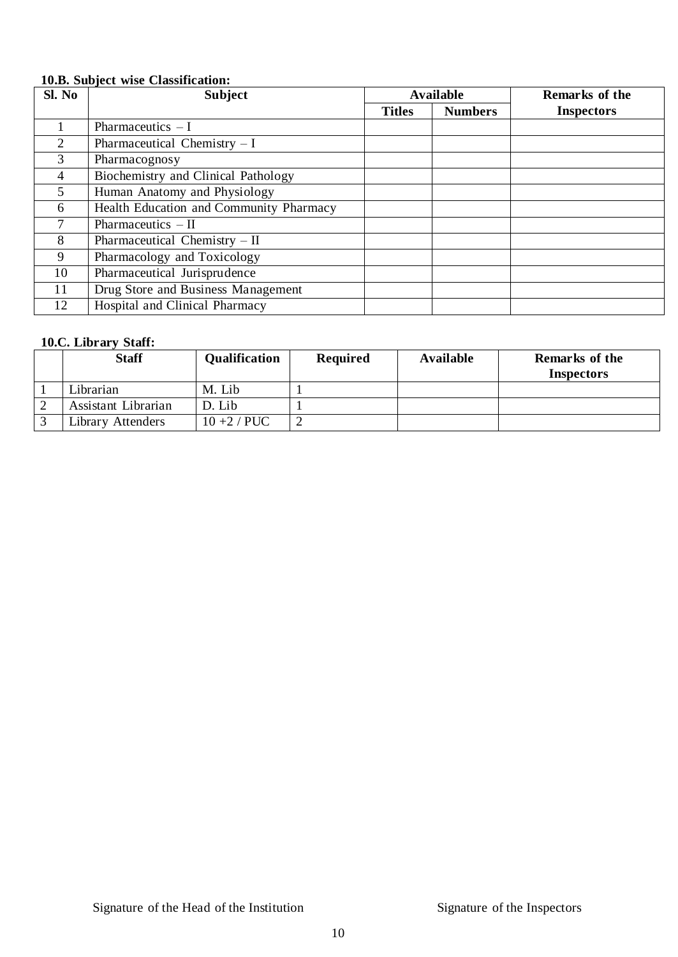## **10.B. Subject wise Classification:**

| Sl. No | <b>Subject</b>                          |               | <b>Available</b> | Remarks of the    |
|--------|-----------------------------------------|---------------|------------------|-------------------|
|        |                                         | <b>Titles</b> | <b>Numbers</b>   | <b>Inspectors</b> |
|        | Pharmaceutics $-I$                      |               |                  |                   |
| 2      | Pharmaceutical Chemistry $-I$           |               |                  |                   |
| 3      | Pharmacognosy                           |               |                  |                   |
| 4      | Biochemistry and Clinical Pathology     |               |                  |                   |
| 5      | Human Anatomy and Physiology            |               |                  |                   |
| 6      | Health Education and Community Pharmacy |               |                  |                   |
|        | Pharmaceutics $-$ II                    |               |                  |                   |
| 8      | Pharmaceutical Chemistry $-$ II         |               |                  |                   |
| 9      | Pharmacology and Toxicology             |               |                  |                   |
| 10     | Pharmaceutical Jurisprudence            |               |                  |                   |
| 11     | Drug Store and Business Management      |               |                  |                   |
| 12     | Hospital and Clinical Pharmacy          |               |                  |                   |

### **10.C. Library Staff:**

| <b>Staff</b>        | <b>Qualification</b> | <b>Required</b> | Available | <b>Remarks of the</b> |
|---------------------|----------------------|-----------------|-----------|-----------------------|
|                     |                      |                 |           | <b>Inspectors</b>     |
| Librarian           | M. Lib               |                 |           |                       |
| Assistant Librarian | D. Lib               |                 |           |                       |
| Library Attenders   | $10+2$ / PUC         |                 |           |                       |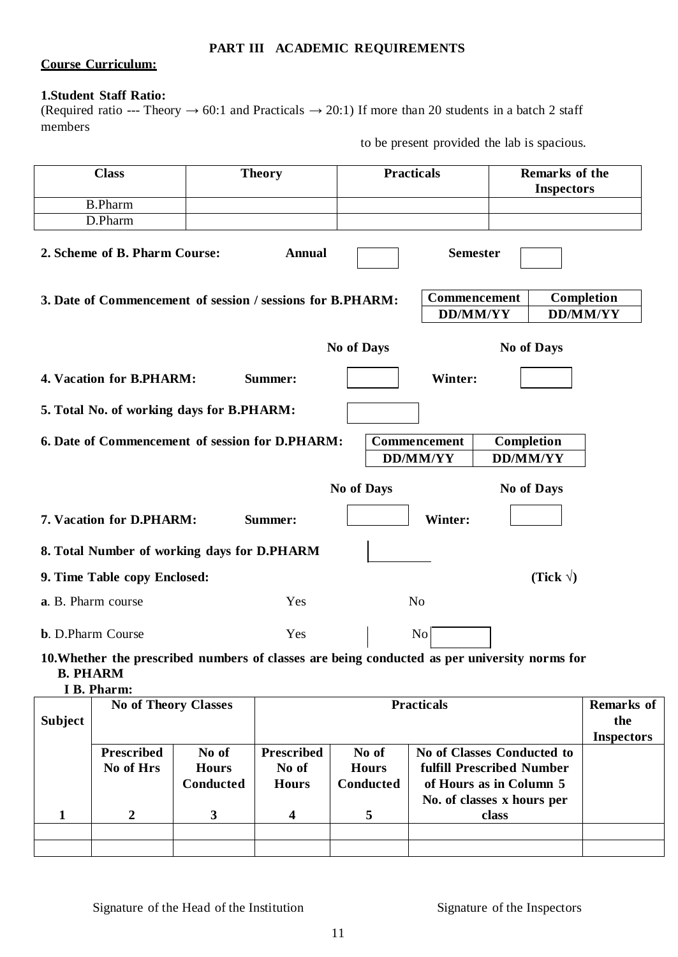#### **PART III ACADEMIC REQUIREMENTS**

#### **Course Curriculum:**

### **1.Student Staff Ratio:**

(Required ratio --- Theory  $\rightarrow 60:1$  and Practicals  $\rightarrow 20:1$ ) If more than 20 students in a batch 2 staff members

to be present provided the lab is spacious.

| <b>Class</b>                                                                                  | <b>Theory</b> | <b>Practicals</b>               |                 | Remarks of the<br><b>Inspectors</b> |
|-----------------------------------------------------------------------------------------------|---------------|---------------------------------|-----------------|-------------------------------------|
| <b>B.Pharm</b>                                                                                |               |                                 |                 |                                     |
| D.Pharm                                                                                       |               |                                 |                 |                                     |
| 2. Scheme of B. Pharm Course:                                                                 | <b>Annual</b> |                                 | <b>Semester</b> |                                     |
| 3. Date of Commencement of session / sessions for B.PHARM:                                    |               |                                 | Commencement    | Completion                          |
|                                                                                               |               |                                 | <b>DD/MM/YY</b> | <b>DD/MM/YY</b>                     |
|                                                                                               |               | <b>No of Days</b>               |                 | <b>No of Days</b>                   |
| 4. Vacation for B.PHARM:                                                                      | Summer:       |                                 | Winter:         |                                     |
| 5. Total No. of working days for B.PHARM:                                                     |               |                                 |                 |                                     |
| 6. Date of Commencement of session for D.PHARM:                                               |               | Commencement<br><b>DD/MM/YY</b> |                 | Completion<br><b>DD/MM/YY</b>       |
|                                                                                               |               | <b>No of Days</b>               |                 | No of Days                          |
| 7. Vacation for D.PHARM:                                                                      | Summer:       |                                 | Winter:         |                                     |
| 8. Total Number of working days for D.PHARM                                                   |               |                                 |                 |                                     |
| 9. Time Table copy Enclosed:                                                                  |               |                                 |                 | (Tick $\sqrt{}$ )                   |
| a. B. Pharm course                                                                            | Yes           | N <sub>o</sub>                  |                 |                                     |
| <b>b.</b> D.Pharm Course                                                                      | Yes           |                                 | N <sub>o</sub>  |                                     |
| 10. Whether the prescribed numbers of classes are being conducted as per university norms for |               |                                 |                 |                                     |

**B. PHARM I B. Pharm:**

| <b>Subject</b> |                                | No of Theory Classes                      |                         | <b>Practicals</b><br><b>Prescribed</b><br>No of<br>No of Classes Conducted to<br>fulfill Prescribed Number<br>No of<br><b>Hours</b><br><b>Conducted</b><br>of Hours as in Column 5<br><b>Hours</b><br>No. of classes x hours per |       |  |  |
|----------------|--------------------------------|-------------------------------------------|-------------------------|----------------------------------------------------------------------------------------------------------------------------------------------------------------------------------------------------------------------------------|-------|--|--|
|                | <b>Prescribed</b><br>No of Hrs | No of<br><b>Hours</b><br><b>Conducted</b> |                         |                                                                                                                                                                                                                                  |       |  |  |
|                |                                | 3                                         | $\overline{\mathbf{4}}$ | 5                                                                                                                                                                                                                                | class |  |  |
|                |                                |                                           |                         |                                                                                                                                                                                                                                  |       |  |  |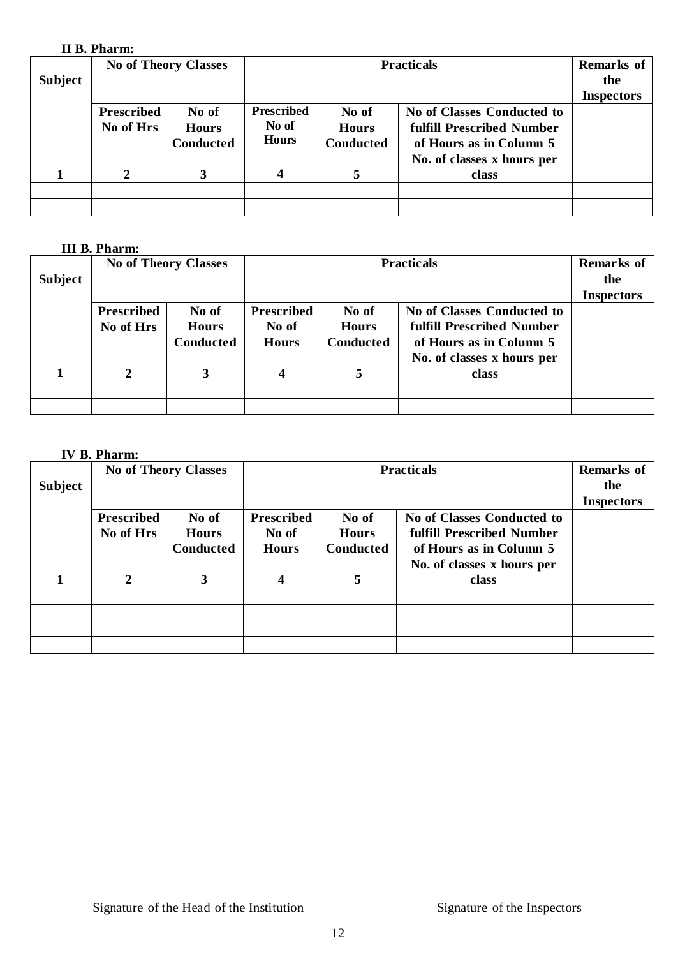### **II B. Pharm:**

| <b>Subject</b> |                                | <b>No of Theory Classes</b>        |                                            | <b>Practicals</b>                         |                                                                                                                  |  |
|----------------|--------------------------------|------------------------------------|--------------------------------------------|-------------------------------------------|------------------------------------------------------------------------------------------------------------------|--|
|                | <b>Prescribed</b><br>No of Hrs | No of<br><b>Hours</b><br>Conducted | <b>Prescribed</b><br>No of<br><b>Hours</b> | No of<br><b>Hours</b><br><b>Conducted</b> | No of Classes Conducted to<br>fulfill Prescribed Number<br>of Hours as in Column 5<br>No. of classes x hours per |  |
|                | $\mathbf{2}$                   | 3                                  | $\overline{\mathbf{4}}$                    |                                           | class                                                                                                            |  |
|                |                                |                                    |                                            |                                           |                                                                                                                  |  |

### **III B. Pharm:**

| <b>Subject</b> | пп ретианно                    | <b>No of Theory Classes</b>        |                                            | <b>Practicals</b> |                                     |  |  |  |
|----------------|--------------------------------|------------------------------------|--------------------------------------------|-------------------|-------------------------------------|--|--|--|
|                | <b>Prescribed</b><br>No of Hrs | No of<br><b>Hours</b><br>Conducted | <b>Prescribed</b><br>No of<br><b>Hours</b> | <b>Inspectors</b> |                                     |  |  |  |
|                | 2                              | 3                                  | 4                                          | 5                 | No. of classes x hours per<br>class |  |  |  |
|                |                                |                                    |                                            |                   |                                     |  |  |  |

### **IV B. Pharm:**

| Subject |                                | <b>No of Theory Classes</b>               |                                            | <b>Practicals</b>                         |                                                                                                                  |  |
|---------|--------------------------------|-------------------------------------------|--------------------------------------------|-------------------------------------------|------------------------------------------------------------------------------------------------------------------|--|
|         | <b>Prescribed</b><br>No of Hrs | No of<br><b>Hours</b><br><b>Conducted</b> | <b>Prescribed</b><br>No of<br><b>Hours</b> | No of<br><b>Hours</b><br><b>Conducted</b> | No of Classes Conducted to<br>fulfill Prescribed Number<br>of Hours as in Column 5<br>No. of classes x hours per |  |
|         | $\overline{2}$                 | 3                                         | 4                                          | 5                                         | class                                                                                                            |  |
|         |                                |                                           |                                            |                                           |                                                                                                                  |  |
|         |                                |                                           |                                            |                                           |                                                                                                                  |  |
|         |                                |                                           |                                            |                                           |                                                                                                                  |  |
|         |                                |                                           |                                            |                                           |                                                                                                                  |  |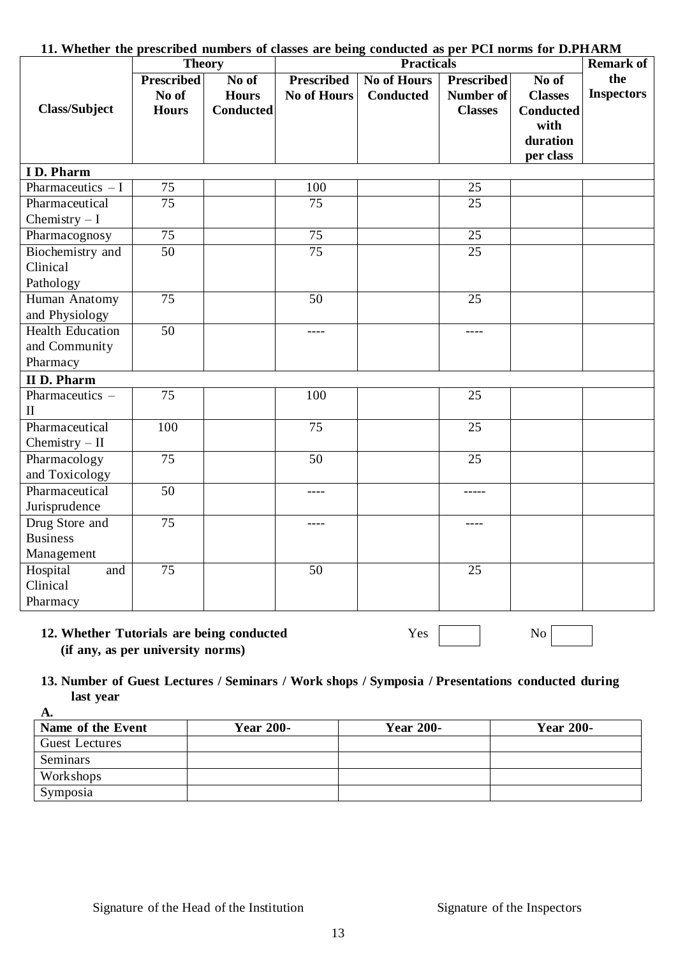|                         | <b>Theory</b>     |                  |                    | 11. Whether the prescribed numbers of classes are being conducted as per PCI norms for D.PHARM<br><b>Practicals</b> |                   |                  |                         |  |
|-------------------------|-------------------|------------------|--------------------|---------------------------------------------------------------------------------------------------------------------|-------------------|------------------|-------------------------|--|
|                         | <b>Prescribed</b> | No of            | <b>Prescribed</b>  | <b>No of Hours</b>                                                                                                  | <b>Prescribed</b> | No of            | <b>Remark of</b><br>the |  |
|                         | No of             | <b>Hours</b>     | <b>No of Hours</b> | <b>Conducted</b>                                                                                                    | Number of         | <b>Classes</b>   | <b>Inspectors</b>       |  |
| <b>Class/Subject</b>    | <b>Hours</b>      | <b>Conducted</b> |                    |                                                                                                                     | <b>Classes</b>    | <b>Conducted</b> |                         |  |
|                         |                   |                  |                    |                                                                                                                     |                   | with             |                         |  |
|                         |                   |                  |                    |                                                                                                                     |                   | duration         |                         |  |
|                         |                   |                  |                    |                                                                                                                     |                   | per class        |                         |  |
| I D. Pharm              |                   |                  |                    |                                                                                                                     |                   |                  |                         |  |
| Pharmaceutics $-I$      | 75                |                  | 100                |                                                                                                                     | 25                |                  |                         |  |
| Pharmaceutical          | $\overline{75}$   |                  | 75                 |                                                                                                                     | $\overline{25}$   |                  |                         |  |
| Chemistry $-I$          |                   |                  |                    |                                                                                                                     |                   |                  |                         |  |
| Pharmacognosy           | 75                |                  | 75                 |                                                                                                                     | 25                |                  |                         |  |
| Biochemistry and        | 50                |                  | 75                 |                                                                                                                     | 25                |                  |                         |  |
| Clinical                |                   |                  |                    |                                                                                                                     |                   |                  |                         |  |
| Pathology               |                   |                  |                    |                                                                                                                     |                   |                  |                         |  |
| Human Anatomy           | 75                |                  | 50                 |                                                                                                                     | 25                |                  |                         |  |
| and Physiology          |                   |                  |                    |                                                                                                                     |                   |                  |                         |  |
| <b>Health Education</b> | 50                |                  | $\frac{1}{2}$      |                                                                                                                     | $---$             |                  |                         |  |
| and Community           |                   |                  |                    |                                                                                                                     |                   |                  |                         |  |
| Pharmacy                |                   |                  |                    |                                                                                                                     |                   |                  |                         |  |
| <b>II</b> D. Pharm      |                   |                  |                    |                                                                                                                     |                   |                  |                         |  |
| Pharmaceutics -         | 75                |                  | 100                |                                                                                                                     | 25                |                  |                         |  |
| $\mathbf{I}$            |                   |                  |                    |                                                                                                                     |                   |                  |                         |  |
| Pharmaceutical          | 100               |                  | 75                 |                                                                                                                     | 25                |                  |                         |  |
| Chemistry $-$ II        |                   |                  |                    |                                                                                                                     |                   |                  |                         |  |
| Pharmacology            | 75                |                  | 50                 |                                                                                                                     | 25                |                  |                         |  |
| and Toxicology          |                   |                  |                    |                                                                                                                     |                   |                  |                         |  |
| Pharmaceutical          | 50                |                  | ----               |                                                                                                                     | -----             |                  |                         |  |
| Jurisprudence           |                   |                  |                    |                                                                                                                     |                   |                  |                         |  |
| Drug Store and          | 75                |                  | ----               |                                                                                                                     | ----              |                  |                         |  |
| <b>Business</b>         |                   |                  |                    |                                                                                                                     |                   |                  |                         |  |
| Management              |                   |                  |                    |                                                                                                                     |                   |                  |                         |  |
| Hospital<br>and         | 75                |                  | 50                 |                                                                                                                     | 25                |                  |                         |  |
| Clinical                |                   |                  |                    |                                                                                                                     |                   |                  |                         |  |
| Pharmacy                |                   |                  |                    |                                                                                                                     |                   |                  |                         |  |

#### **11. Whether the prescribed numbers of classes are being conducted as per PCI norms for D.PHARM**

### **12. Whether Tutorials are being conducted** Yes No **(if any, as per university norms)**

### **13. Number of Guest Lectures / Seminars / Work shops / Symposia / Presentations conducted during last year**

| A.                    |                  |                  |                  |
|-----------------------|------------------|------------------|------------------|
| Name of the Event     | <b>Year 200-</b> | <b>Year 200-</b> | <b>Year 200-</b> |
| <b>Guest Lectures</b> |                  |                  |                  |
| Seminars              |                  |                  |                  |
| Workshops             |                  |                  |                  |
| Symposia              |                  |                  |                  |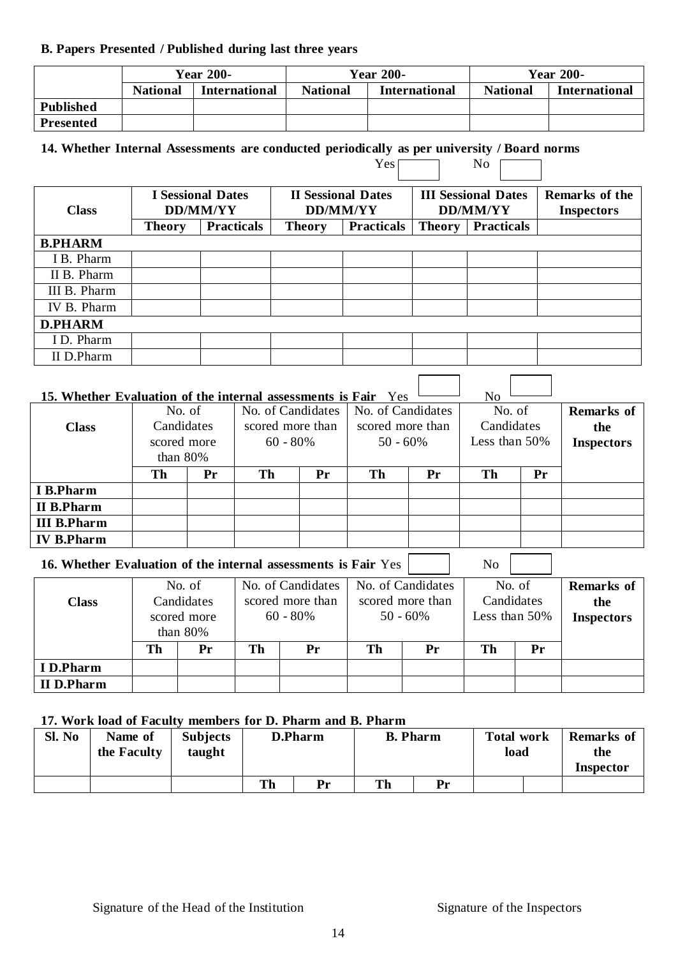#### **B. Papers Presented / Published during last three years**

|                  | <b>Year 200-</b> |                      |                                         | <b>Year 200-</b> | <b>Year 200-</b> |                      |  |
|------------------|------------------|----------------------|-----------------------------------------|------------------|------------------|----------------------|--|
|                  | <b>National</b>  | <b>International</b> | <b>National</b><br><b>International</b> |                  | <b>National</b>  | <b>International</b> |  |
| Published        |                  |                      |                                         |                  |                  |                      |  |
| <b>Presented</b> |                  |                      |                                         |                  |                  |                      |  |

 $Yes \frown \qquad No \frown$ 

ヿ

### **14. Whether Internal Assessments are conducted periodically as per university / Board norms**

| <b>Class</b>   | <b>I</b> Sessional Dates<br>DD/MM/YY |                   |               | <b>II Sessional Dates</b><br><b>DD/MM/YY</b> |               | <b>III Sessional Dates</b><br>DD/MM/YY | Remarks of the<br><b>Inspectors</b> |
|----------------|--------------------------------------|-------------------|---------------|----------------------------------------------|---------------|----------------------------------------|-------------------------------------|
|                | <b>Theory</b>                        | <b>Practicals</b> | <b>Theory</b> | <b>Practicals</b>                            | <b>Theory</b> | <b>Practicals</b>                      |                                     |
| <b>B.PHARM</b> |                                      |                   |               |                                              |               |                                        |                                     |
| I B. Pharm     |                                      |                   |               |                                              |               |                                        |                                     |
| II B. Pharm    |                                      |                   |               |                                              |               |                                        |                                     |
| III B. Pharm   |                                      |                   |               |                                              |               |                                        |                                     |
| IV B. Pharm    |                                      |                   |               |                                              |               |                                        |                                     |
| <b>D.PHARM</b> |                                      |                   |               |                                              |               |                                        |                                     |
| I D. Pharm     |                                      |                   |               |                                              |               |                                        |                                     |
| II D.Pharm     |                                      |                   |               |                                              |               |                                        |                                     |

# **15.** Whether Evaluation of the internal assessments is Fair Yes  $\begin{bmatrix} 1 & 1 \\ 1 & 1 \end{bmatrix}$  No

|                    | No. of      |            | No. of Candidates |                  | No. of Candidates |                  | No. of           |            | <b>Remarks</b> of |
|--------------------|-------------|------------|-------------------|------------------|-------------------|------------------|------------------|------------|-------------------|
| <b>Class</b>       |             | Candidates |                   | scored more than |                   | scored more than |                  | Candidates | the               |
|                    | scored more |            | $60 - 80\%$       |                  | $50 - 60\%$       |                  | Less than $50\%$ |            | <b>Inspectors</b> |
|                    | than $80\%$ |            |                   |                  |                   |                  |                  |            |                   |
|                    | Th          | Pr         | Th                | Pr               | Th                | Pr               | Th               | Pr         |                   |
| I B.Pharm          |             |            |                   |                  |                   |                  |                  |            |                   |
| <b>II B.Pharm</b>  |             |            |                   |                  |                   |                  |                  |            |                   |
| <b>III B.Pharm</b> |             |            |                   |                  |                   |                  |                  |            |                   |
| <b>IV B.Pharm</b>  |             |            |                   |                  |                   |                  |                  |            |                   |

### **16.** Whether Evaluation of the internal assessments is Fair Yes  $\vert$  No  $\vert$

|                   |             | No. of |    | No. of Candidates |    | No. of Candidates | No. of |               | Remarks of        |
|-------------------|-------------|--------|----|-------------------|----|-------------------|--------|---------------|-------------------|
| <b>Class</b>      | Candidates  |        |    | scored more than  |    | scored more than  |        | Candidates    | the               |
|                   | scored more |        |    | $60 - 80\%$       |    | $50 - 60\%$       |        | Less than 50% | <b>Inspectors</b> |
|                   | than $80\%$ |        |    |                   |    |                   |        |               |                   |
|                   | Th<br>Pr    |        | Th | Pr                | Th | Pr                | Th     | Pr            |                   |
| I D.Pharm         |             |        |    |                   |    |                   |        |               |                   |
| <b>II</b> D.Pharm |             |        |    |                   |    |                   |        |               |                   |

### **17. Work load of Faculty members for D. Pharm and B. Pharm**

| Sl. No | Name of<br>the Faculty | <b>Subjects</b><br>taught |    | D.Pharm | <b>B.</b> Pharm |    | <b>Total work</b><br>load | <b>Remarks of</b><br>the |
|--------|------------------------|---------------------------|----|---------|-----------------|----|---------------------------|--------------------------|
|        |                        |                           |    |         |                 |    |                           | Inspector                |
|        |                        |                           | Th | Pr      | Th              | Pr |                           |                          |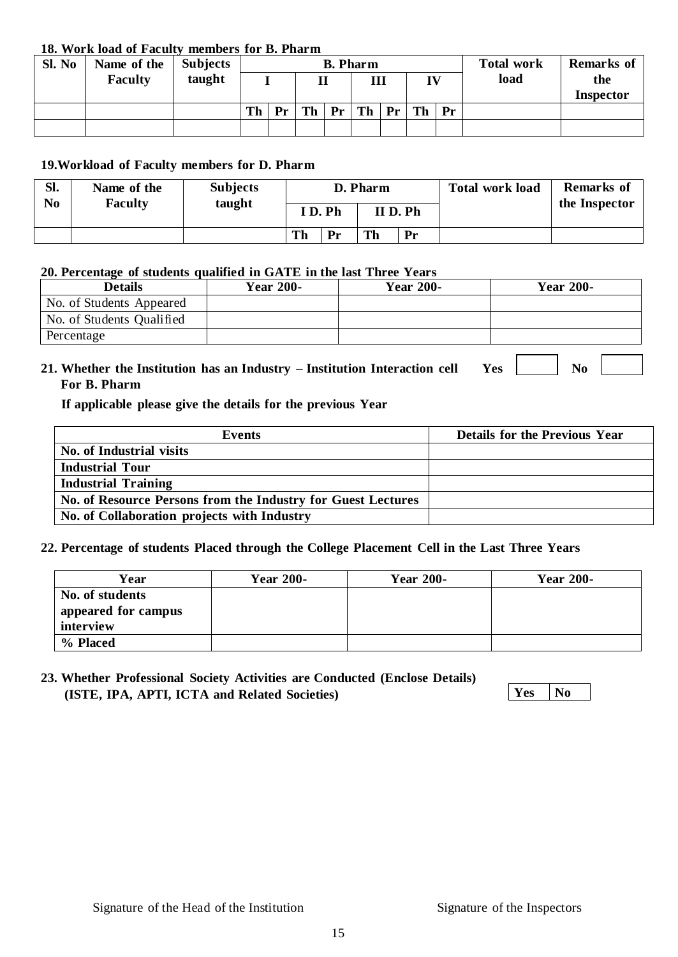#### **18. Work load of Faculty members for B. Pharm**

| Sl. No | Name of the | <b>Subjects</b> |    |    | <b>B.</b> Pharm |  |                |  |    |  | <b>Total work</b> | <b>Remarks of</b> |
|--------|-------------|-----------------|----|----|-----------------|--|----------------|--|----|--|-------------------|-------------------|
|        | Faculty     | taught          |    |    | п               |  | Ш              |  | TV |  | load              | the               |
|        |             |                 |    |    |                 |  |                |  |    |  |                   | <b>Inspector</b>  |
|        |             |                 | Th | Pr | Th              |  | Pr Th Pr Th Pr |  |    |  |                   |                   |
|        |             |                 |    |    |                 |  |                |  |    |  |                   |                   |

#### **19.Workload of Faculty members for D. Pharm**

| SI.<br>No | Name of the<br>Faculty | <b>Subjects</b> | D. Pharm            |    |    |    | <b>Total work load</b> | <b>Remarks</b> of<br>the Inspector |  |
|-----------|------------------------|-----------------|---------------------|----|----|----|------------------------|------------------------------------|--|
|           |                        | taught          | ID.Ph<br>$II$ D. Ph |    |    |    |                        |                                    |  |
|           |                        |                 | Th                  | Pr | Th | Pr |                        |                                    |  |

#### **20. Percentage of students qualified in GATE in the last Three Years**

| -<br><b>Details</b>       | <b>Year 200-</b> | <b>Year 200-</b> | <b>Year 200-</b> |
|---------------------------|------------------|------------------|------------------|
| No. of Students Appeared  |                  |                  |                  |
| No. of Students Qualified |                  |                  |                  |
| Percentage                |                  |                  |                  |
|                           |                  |                  |                  |

## **21.** Whether the Institution has an Industry – Institution Interaction cell Yes No **For B. Pharm**

**If applicable please give the details for the previous Year**

| Events                                                       | <b>Details for the Previous Year</b> |
|--------------------------------------------------------------|--------------------------------------|
| No. of Industrial visits                                     |                                      |
| <b>Industrial Tour</b>                                       |                                      |
| <b>Industrial Training</b>                                   |                                      |
| No. of Resource Persons from the Industry for Guest Lectures |                                      |
| No. of Collaboration projects with Industry                  |                                      |

#### **22. Percentage of students Placed through the College Placement Cell in the Last Three Years**

| Year                                                | <b>Year 200-</b> | <b>Year 200-</b> | <b>Year 200-</b> |
|-----------------------------------------------------|------------------|------------------|------------------|
| No. of students<br>appeared for campus<br>interview |                  |                  |                  |
| % Placed                                            |                  |                  |                  |

#### **23. Whether Professional Society Activities are Conducted (Enclose Details) (ISTE, IPA, APTI, ICTA and Related Societies) Yes No**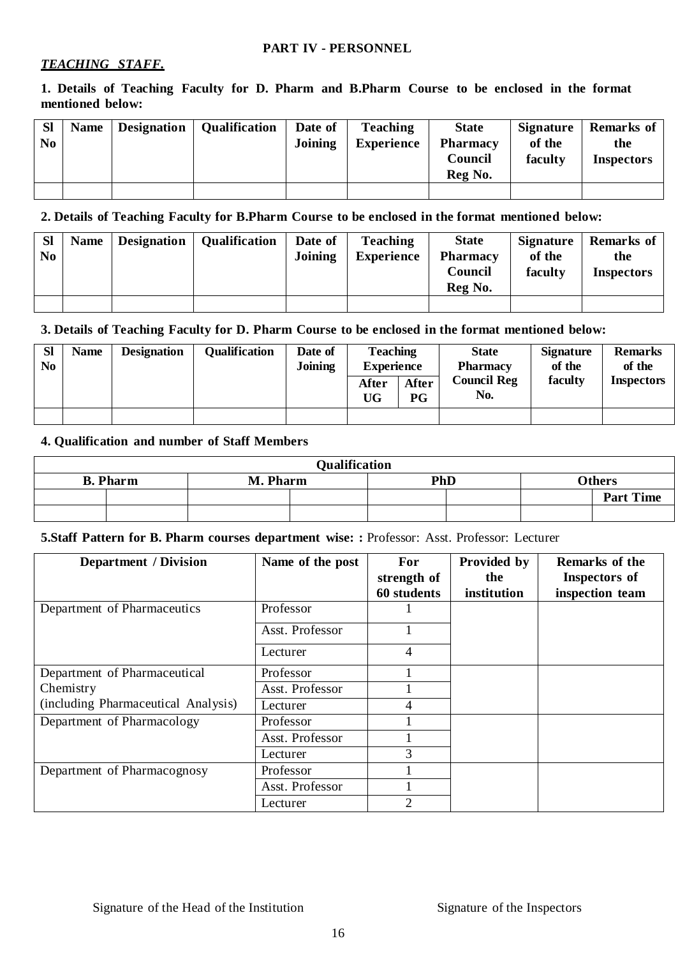#### **PART IV - PERSONNEL**

#### *TEACHING STAFF.*

**1. Details of Teaching Faculty for D. Pharm and B.Pharm Course to be enclosed in the format mentioned below:**

| <b>Sl</b><br>No | <b>Name</b> | <b>Designation</b> | <b>Qualification</b> | Date of<br><b>Joining</b> | <b>Teaching</b><br><b>Experience</b> | <b>State</b><br><b>Pharmacy</b><br>Council<br>Reg No. | Signature<br>of the<br>faculty | <b>Remarks of</b><br>the<br><b>Inspectors</b> |
|-----------------|-------------|--------------------|----------------------|---------------------------|--------------------------------------|-------------------------------------------------------|--------------------------------|-----------------------------------------------|
|                 |             |                    |                      |                           |                                      |                                                       |                                |                                               |

#### **2. Details of Teaching Faculty for B.Pharm Course to be enclosed in the format mentioned below:**

| <b>SI</b><br>N <sub>0</sub> | Name Designation | <b>Qualification</b> | Date of<br>Joining | <b>Teaching</b><br><b>Experience</b> | <b>State</b><br><b>Pharmacy</b><br>Council<br>Reg No. | of the<br>faculty | Signature Remarks of<br>the<br><b>Inspectors</b> |
|-----------------------------|------------------|----------------------|--------------------|--------------------------------------|-------------------------------------------------------|-------------------|--------------------------------------------------|
|                             |                  |                      |                    |                                      |                                                       |                   |                                                  |

#### **3. Details of Teaching Faculty for D. Pharm Course to be enclosed in the format mentioned below:**

| <b>SI</b><br>No | <b>Name</b> | <b>Designation</b> | <b>Qualification</b> | Date of<br><b>Joining</b> | <b>Teaching</b><br><b>Experience</b><br><b>After</b><br>UG | <b>After</b><br>P G | <b>State</b><br><b>Pharmacy</b><br><b>Council Reg</b><br>No. | <b>Signature</b><br>of the<br>faculty | <b>Remarks</b><br>of the<br><b>Inspectors</b> |
|-----------------|-------------|--------------------|----------------------|---------------------------|------------------------------------------------------------|---------------------|--------------------------------------------------------------|---------------------------------------|-----------------------------------------------|
|                 |             |                    |                      |                           |                                                            |                     |                                                              |                                       |                                               |

#### **4. Qualification and number of Staff Members**

| <b>Qualification</b> |          |     |                  |  |  |  |  |  |  |
|----------------------|----------|-----|------------------|--|--|--|--|--|--|
| <b>B.</b> Pharm      | M. Pharm | PhD | <b>Others</b>    |  |  |  |  |  |  |
|                      |          |     | <b>Part Time</b> |  |  |  |  |  |  |
|                      |          |     |                  |  |  |  |  |  |  |

#### **5.Staff Pattern for B. Pharm courses department wise: :** Professor: Asst. Professor: Lecturer

| <b>Department / Division</b>        | Name of the post | For<br>strength of<br>60 students | Provided by<br>the<br>institution | Remarks of the<br>Inspectors of<br>inspection team |
|-------------------------------------|------------------|-----------------------------------|-----------------------------------|----------------------------------------------------|
| Department of Pharmaceutics         | Professor        |                                   |                                   |                                                    |
|                                     | Asst. Professor  |                                   |                                   |                                                    |
|                                     | Lecturer         | 4                                 |                                   |                                                    |
| Department of Pharmaceutical        | Professor        |                                   |                                   |                                                    |
| Chemistry                           | Asst. Professor  |                                   |                                   |                                                    |
| (including Pharmaceutical Analysis) | Lecturer         | 4                                 |                                   |                                                    |
| Department of Pharmacology          | Professor        |                                   |                                   |                                                    |
|                                     | Asst. Professor  |                                   |                                   |                                                    |
|                                     | Lecturer         | 3                                 |                                   |                                                    |
| Department of Pharmacognosy         | Professor        |                                   |                                   |                                                    |
|                                     | Asst. Professor  |                                   |                                   |                                                    |
|                                     | Lecturer         | $\overline{2}$                    |                                   |                                                    |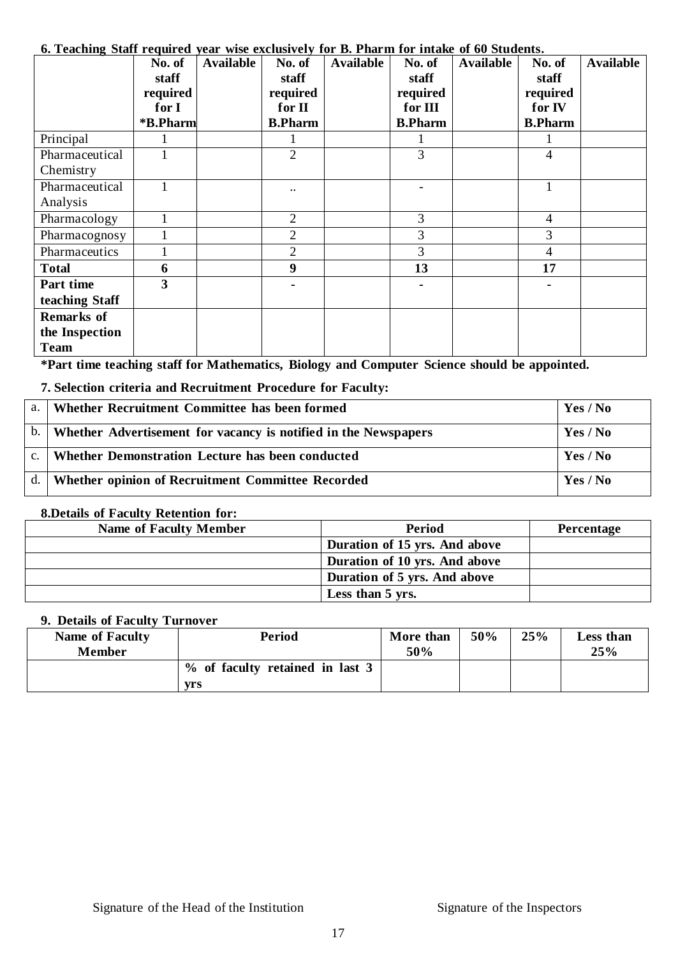#### **No. of staff required for I \*B.Pharm Available No. of staff required for II B.Pharm Available No. of staff required for III B.Pharm** Available | No. of **staff required for IV B.Pharm Available** Principal 1 1 1 1 1 1 1 1 1 Pharmaceutical Chemistry  $1 \quad 2 \quad 2 \quad 3 \quad 4$ Pharmaceutical Analysis  $1 \quad | \quad | \quad ... \quad | \quad ... \quad | \quad - \quad | \quad 1$ Pharmacology 1 1 2 3 4 Pharmacognosy 1 2 3 3 Pharmaceutics  $\begin{vmatrix} 1 & 1 & 2 & 3 \end{vmatrix}$  4 **Total 6 9 13 17 Part time teaching Staff 3 - - - Remarks of the Inspection Team**

#### **6. Teaching Staff required year wise exclusively for B. Pharm for intake of 60 Students.**

**\*Part time teaching staff for Mathematics, Biology and Computer Science should be appointed.**

**7. Selection criteria and Recruitment Procedure for Faculty:**

| $a_{\cdot}$    | Whether Recruitment Committee has been formed                   | Yes / No |
|----------------|-----------------------------------------------------------------|----------|
| $\mathbf{b}$ . | Whether Advertisement for vacancy is notified in the Newspapers | Yes / No |
| C <sub>1</sub> | Whether Demonstration Lecture has been conducted                | Yes / No |
| $d_{\cdot}$    | Whether opinion of Recruitment Committee Recorded               | Yes / No |

#### **8.Details of Faculty Retention for:**

| <b>Name of Faculty Member</b> | Period                        | Percentage |
|-------------------------------|-------------------------------|------------|
|                               | Duration of 15 yrs. And above |            |
|                               | Duration of 10 yrs. And above |            |
|                               | Duration of 5 yrs. And above  |            |
|                               | Less than 5 yrs.              |            |

#### **9. Details of Faculty Turnover**

| $\lambda$ . Detain of Faculty Furnover<br><b>Name of Faculty</b><br><b>Member</b> | Period                          | More than<br>50% | 50% | 25% | Less than<br>25% |
|-----------------------------------------------------------------------------------|---------------------------------|------------------|-----|-----|------------------|
|                                                                                   | % of faculty retained in last 3 |                  |     |     |                  |
|                                                                                   | vrs                             |                  |     |     |                  |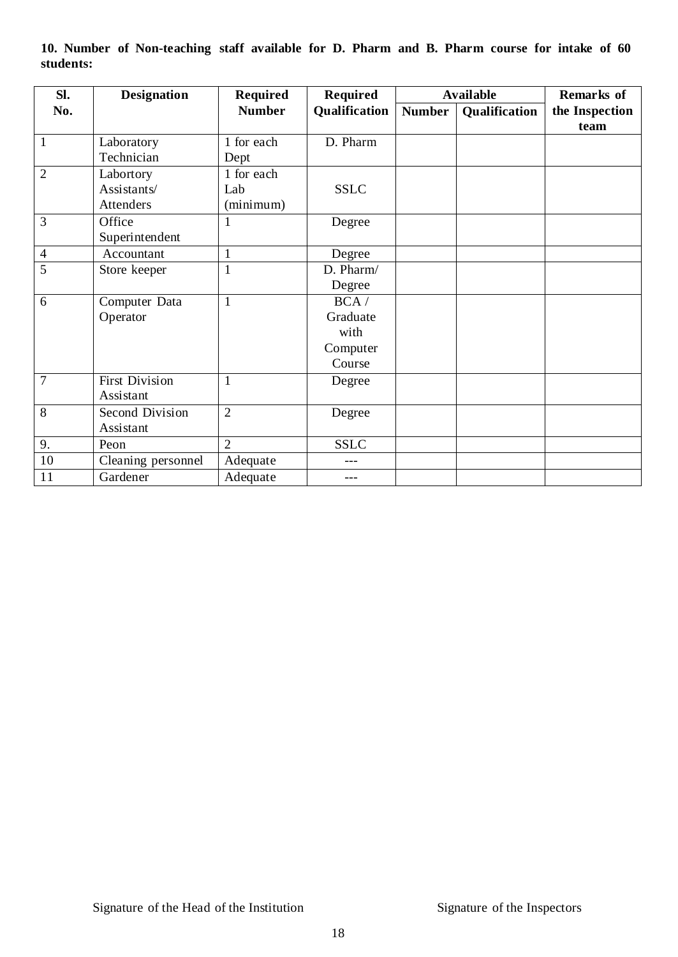| Sl.            | <b>Designation</b>    | <b>Required</b> | <b>Required</b> |               | <b>Available</b> | <b>Remarks of</b> |
|----------------|-----------------------|-----------------|-----------------|---------------|------------------|-------------------|
| No.            |                       | <b>Number</b>   | Qualification   | <b>Number</b> | Qualification    | the Inspection    |
|                |                       |                 |                 |               |                  | team              |
| $\overline{1}$ | Laboratory            | 1 for each      | D. Pharm        |               |                  |                   |
|                | Technician            | Dept            |                 |               |                  |                   |
| $\overline{2}$ | Labortory             | 1 for each      |                 |               |                  |                   |
|                | Assistants/           | Lab             | <b>SSLC</b>     |               |                  |                   |
|                | Attenders             | (minimum)       |                 |               |                  |                   |
| $\overline{3}$ | Office                |                 | Degree          |               |                  |                   |
|                | Superintendent        |                 |                 |               |                  |                   |
| $\overline{4}$ | Accountant            | $\mathbf{1}$    | Degree          |               |                  |                   |
| 5              | Store keeper          | $\mathbf{1}$    | D. Pharm/       |               |                  |                   |
|                |                       |                 | Degree          |               |                  |                   |
| 6              | Computer Data         | $\mathbf{1}$    | BCA/            |               |                  |                   |
|                | Operator              |                 | Graduate        |               |                  |                   |
|                |                       |                 | with            |               |                  |                   |
|                |                       |                 | Computer        |               |                  |                   |
|                |                       |                 | Course          |               |                  |                   |
| $\overline{7}$ | <b>First Division</b> | 1               | Degree          |               |                  |                   |
|                | Assistant             |                 |                 |               |                  |                   |
| 8              | Second Division       | $\overline{2}$  | Degree          |               |                  |                   |
|                | Assistant             |                 |                 |               |                  |                   |
| 9.             | Peon                  | $\overline{2}$  | <b>SSLC</b>     |               |                  |                   |
| 10             | Cleaning personnel    | Adequate        |                 |               |                  |                   |
| 11             | Gardener              | Adequate        | ---             |               |                  |                   |

**10. Number of Non-teaching staff available for D. Pharm and B. Pharm course for intake of 60 students:**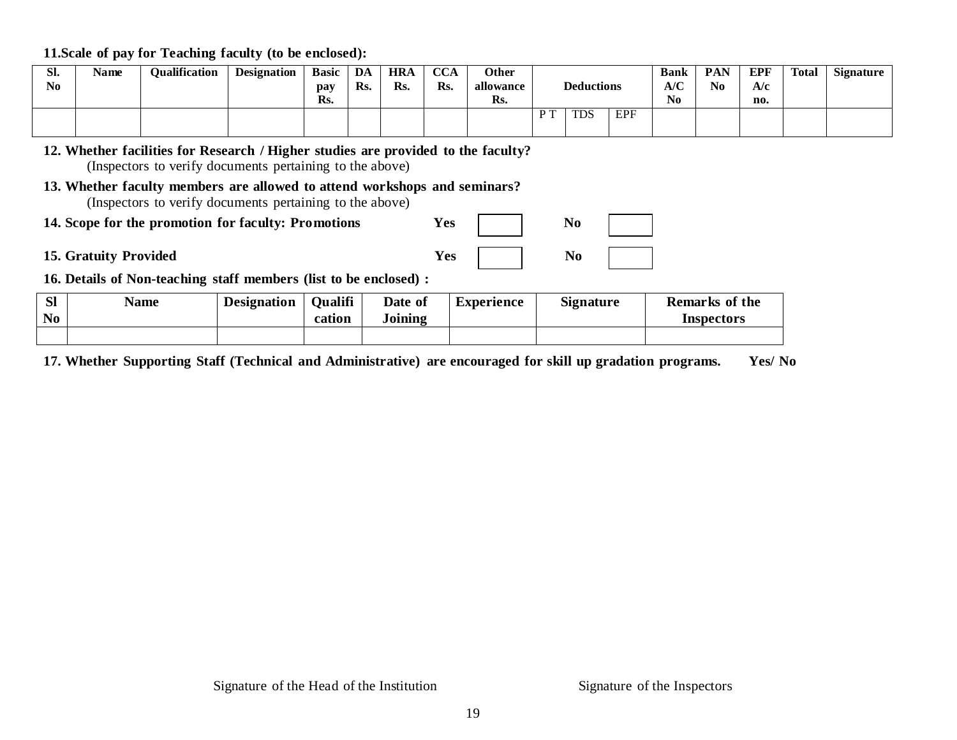**11.Scale of pay for Teaching faculty (to be enclosed):**

| SI.<br>N <sub>0</sub> | Name | <b>Qualification</b> | <b>Designation</b> | <b>Basic</b><br>pay<br>Rs. | DA<br>Rs. | <b>HRA</b><br>Rs. | $\alpha$<br>UUA<br>Rs. | Other<br>allowance<br>Rs. |     | <b>Deductions</b> |            | <b>Bank</b><br>A/C<br>N <sub>0</sub> | <b>PAN</b><br>N <sub>0</sub> | EPF<br>A/c<br>no. | Total | <b>Signature</b> |
|-----------------------|------|----------------------|--------------------|----------------------------|-----------|-------------------|------------------------|---------------------------|-----|-------------------|------------|--------------------------------------|------------------------------|-------------------|-------|------------------|
|                       |      |                      |                    |                            |           |                   |                        |                           | D T | <b>TDS</b>        | <b>EPF</b> |                                      |                              |                   |       |                  |

**12. Whether facilities for Research / Higher studies are provided to the faculty?** (Inspectors to verify documents pertaining to the above)

- **13. Whether faculty members are allowed to attend workshops and seminars?** (Inspectors to verify documents pertaining to the above)
- **14.** Scope for the promotion for faculty: Promotions Yes
- **15.** Gratuity Provided Y

| es     | NO |  |
|--------|----|--|
| $7$ es | No |  |

**16. Details of Non-teaching staff members (list to be enclosed) :**

| $\Omega$<br>וט<br>N <sub>0</sub> | Name | <b>Designation</b> | <b>Oualifi</b><br>cation | Date of<br>Joining | Experience | <b>Signature</b> | <b>Remarks of the</b> |
|----------------------------------|------|--------------------|--------------------------|--------------------|------------|------------------|-----------------------|
|                                  |      |                    |                          |                    |            |                  | Inspectors            |
|                                  |      |                    |                          |                    |            |                  |                       |

**17. Whether Supporting Staff (Technical and Administrative) are encouraged for skill up gradation programs. Yes/ No**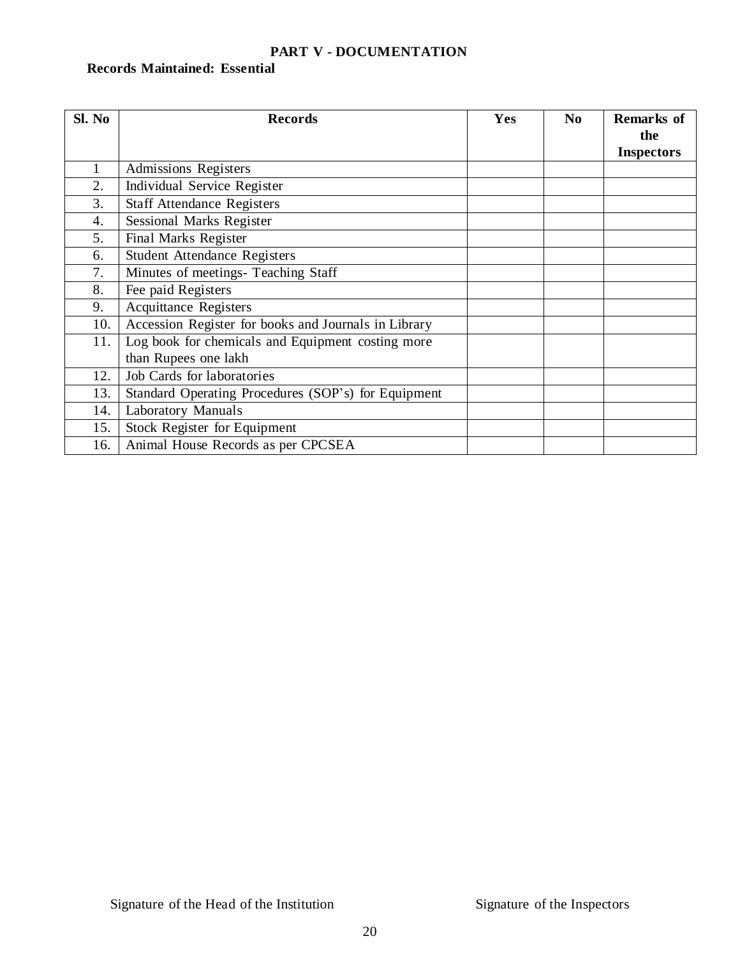### **PART V - DOCUMENTATION**

### **Records Maintained: Essential**

| Sl. No | <b>Records</b>                                       | Yes | N <sub>0</sub> | <b>Remarks of</b><br>the |
|--------|------------------------------------------------------|-----|----------------|--------------------------|
|        |                                                      |     |                | <b>Inspectors</b>        |
| 1      | <b>Admissions Registers</b>                          |     |                |                          |
| 2.     | Individual Service Register                          |     |                |                          |
| 3.     | <b>Staff Attendance Registers</b>                    |     |                |                          |
| 4.     | Sessional Marks Register                             |     |                |                          |
| 5.     | Final Marks Register                                 |     |                |                          |
| 6.     | <b>Student Attendance Registers</b>                  |     |                |                          |
| 7.     | Minutes of meetings- Teaching Staff                  |     |                |                          |
| 8.     | Fee paid Registers                                   |     |                |                          |
| 9.     | <b>Acquittance Registers</b>                         |     |                |                          |
| 10.    | Accession Register for books and Journals in Library |     |                |                          |
| 11.    | Log book for chemicals and Equipment costing more    |     |                |                          |
|        | than Rupees one lakh                                 |     |                |                          |
| 12.    | Job Cards for laboratories                           |     |                |                          |
| 13.    | Standard Operating Procedures (SOP's) for Equipment  |     |                |                          |
| 14.    | <b>Laboratory Manuals</b>                            |     |                |                          |
| 15.    | <b>Stock Register for Equipment</b>                  |     |                |                          |
| 16.    | Animal House Records as per CPCSEA                   |     |                |                          |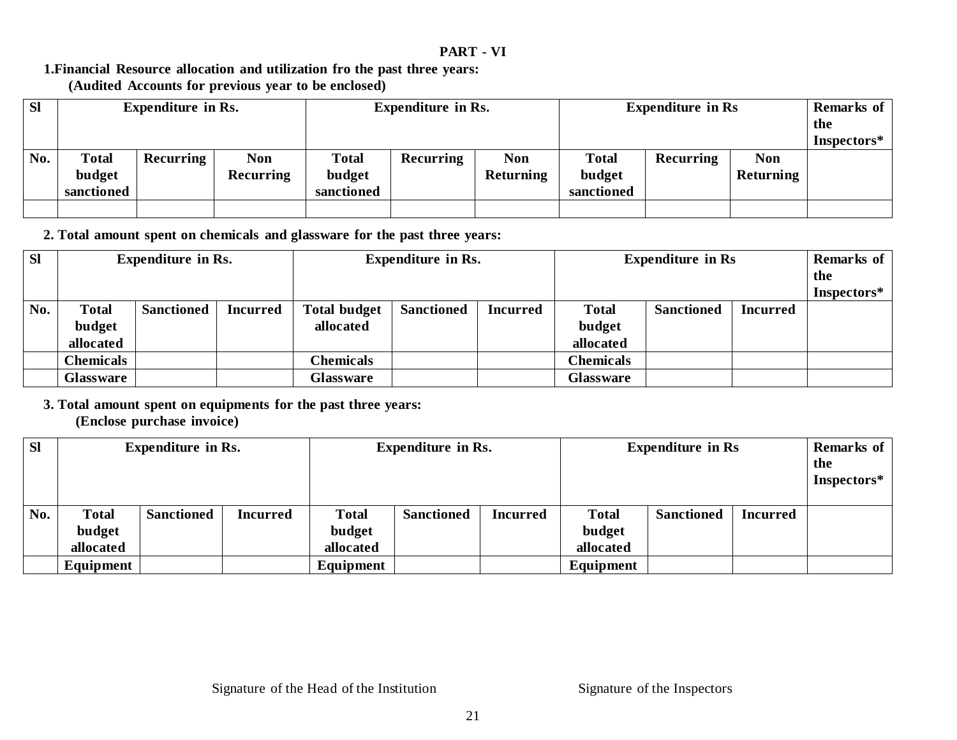#### **PART - VI**

#### **1.Financial Resource allocation and utilization fro the past three years: (Audited Accounts for previous year to be enclosed)**

| <b>SI</b> | <b>Expenditure in Rs.</b>            |           |                                | <b>Expenditure in Rs.</b>            |                  |                         | <b>Expenditure in Rs</b>             | Remarks of<br>the<br>Inspectors* |                         |  |
|-----------|--------------------------------------|-----------|--------------------------------|--------------------------------------|------------------|-------------------------|--------------------------------------|----------------------------------|-------------------------|--|
| No.       | <b>Total</b><br>budget<br>sanctioned | Recurring | <b>Non</b><br><b>Recurring</b> | <b>Total</b><br>budget<br>sanctioned | <b>Recurring</b> | <b>Non</b><br>Returning | <b>Total</b><br>budget<br>sanctioned | Recurring                        | <b>Non</b><br>Returning |  |

**2. Total amount spent on chemicals and glassware for the past three years:**

| <b>Sl</b> | <b>Expenditure in Rs.</b> |                   | <b>Expenditure in Rs.</b> |                     |                   | <b>Expenditure in Rs</b> |                  |                   | <b>Remarks of</b><br>the<br>Inspectors* |  |
|-----------|---------------------------|-------------------|---------------------------|---------------------|-------------------|--------------------------|------------------|-------------------|-----------------------------------------|--|
| No.       | <b>Total</b>              | <b>Sanctioned</b> | <b>Incurred</b>           | <b>Total budget</b> | <b>Sanctioned</b> | <b>Incurred</b>          | <b>Total</b>     | <b>Sanctioned</b> | <b>Incurred</b>                         |  |
|           | budget                    |                   |                           | allocated           |                   |                          | budget           |                   |                                         |  |
|           | allocated                 |                   |                           |                     |                   |                          | allocated        |                   |                                         |  |
|           | <b>Chemicals</b>          |                   |                           | <b>Chemicals</b>    |                   |                          | <b>Chemicals</b> |                   |                                         |  |
|           | Glassware                 |                   |                           | <b>Glassware</b>    |                   |                          | <b>Glassware</b> |                   |                                         |  |

**3. Total amount spent on equipments for the past three years: (Enclose purchase invoice)**

| <b>Sl</b> | <b>Expenditure in Rs.</b> |                   | <b>Expenditure in Rs.</b> |              | <b>Expenditure in Rs</b> |                 |              | Remarks of<br>the<br>Inspectors* |                 |  |
|-----------|---------------------------|-------------------|---------------------------|--------------|--------------------------|-----------------|--------------|----------------------------------|-----------------|--|
| No.       | <b>Total</b>              | <b>Sanctioned</b> | <b>Incurred</b>           | <b>Total</b> | <b>Sanctioned</b>        | <b>Incurred</b> | <b>Total</b> | <b>Sanctioned</b>                | <b>Incurred</b> |  |
|           | budget                    |                   |                           | budget       |                          |                 | budget       |                                  |                 |  |
|           | allocated                 | allocated         |                           |              | allocated                |                 |              |                                  |                 |  |
|           | Equipment                 | Equipment         |                           |              | Equipment                |                 |              |                                  |                 |  |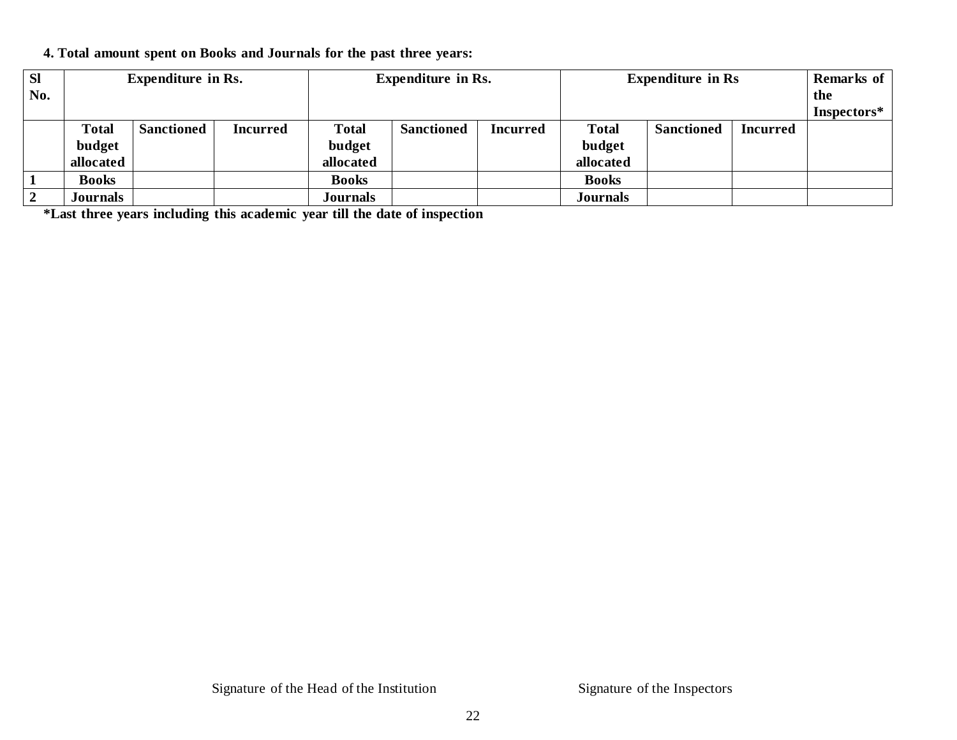#### **4. Total amount spent on Books and Journals for the past three years:**

| <b>SI</b> | <b>Expenditure in Rs.</b> |                   |                 | <b>Expenditure in Rs.</b> |                   |                 | <b>Expenditure in Rs</b> |                   | Remarks of |             |
|-----------|---------------------------|-------------------|-----------------|---------------------------|-------------------|-----------------|--------------------------|-------------------|------------|-------------|
| No.       |                           |                   |                 |                           |                   |                 |                          |                   | the        |             |
|           |                           |                   |                 |                           |                   |                 |                          |                   |            | Inspectors* |
|           | <b>Total</b>              | <b>Sanctioned</b> | <b>Incurred</b> | <b>Total</b>              | <b>Sanctioned</b> | <b>Incurred</b> | <b>Total</b>             | <b>Sanctioned</b> | Incurred   |             |
|           | budget                    |                   |                 | budget                    |                   |                 | budget                   |                   |            |             |
|           | allocated                 |                   |                 | allocated                 |                   |                 | allocated                |                   |            |             |
|           | <b>Books</b>              |                   |                 | <b>Books</b>              |                   |                 | <b>Books</b>             |                   |            |             |
|           | <b>Journals</b>           |                   |                 | <b>Journals</b>           |                   |                 | <b>Journals</b>          |                   |            |             |

**\*Last three years including this academic year till the date of inspection**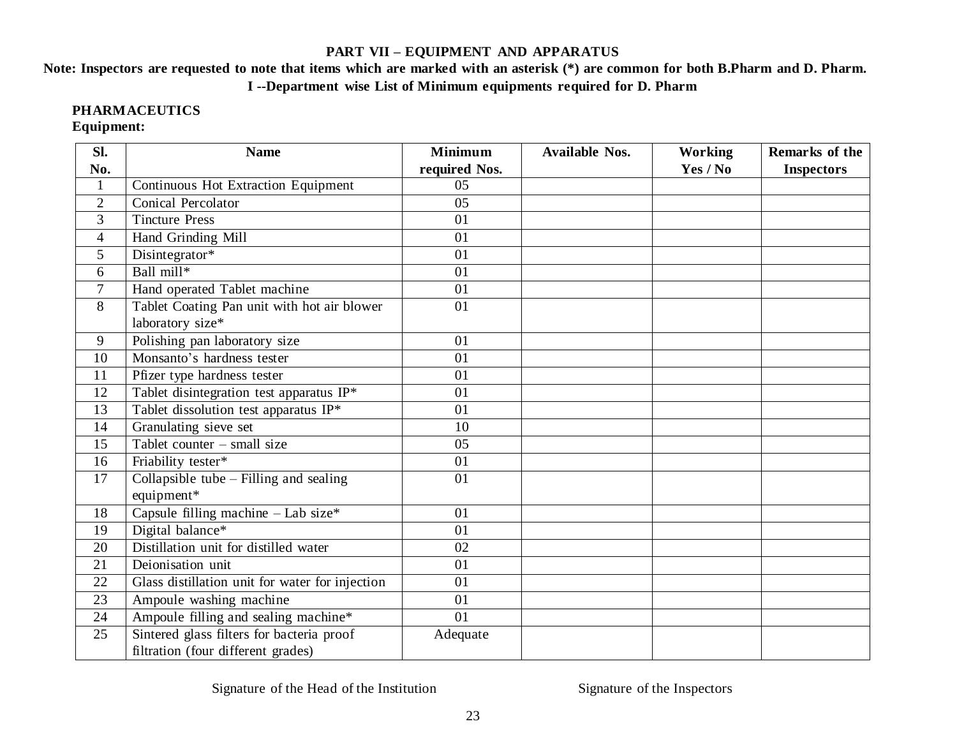#### **PART VII – EQUIPMENT AND APPARATUS**

### Note: Inspectors are requested to note that items which are marked with an asterisk (\*) are common for both B.Pharm and D. Pharm. **I --Department wise List of Minimum equipments required for D. Pharm**

### **PHARMACEUTICS**

### **Equipment:**

| Sl.            | <b>Name</b>                                     | <b>Minimum</b> | <b>Available Nos.</b> | Working  | Remarks of the    |
|----------------|-------------------------------------------------|----------------|-----------------------|----------|-------------------|
| No.            |                                                 | required Nos.  |                       | Yes / No | <b>Inspectors</b> |
| $\mathbf{1}$   | Continuous Hot Extraction Equipment             | 05             |                       |          |                   |
| $\overline{2}$ | <b>Conical Percolator</b>                       | 05             |                       |          |                   |
| 3              | <b>Tincture Press</b>                           | 01             |                       |          |                   |
| 4              | Hand Grinding Mill                              | 01             |                       |          |                   |
| 5              | Disintegrator*                                  | 01             |                       |          |                   |
| 6              | Ball mill*                                      | 01             |                       |          |                   |
| $\overline{7}$ | Hand operated Tablet machine                    | 01             |                       |          |                   |
| 8              | Tablet Coating Pan unit with hot air blower     | 01             |                       |          |                   |
|                | laboratory size*                                |                |                       |          |                   |
| 9              | Polishing pan laboratory size                   | 01             |                       |          |                   |
| 10             | Monsanto's hardness tester                      | 01             |                       |          |                   |
| 11             | Pfizer type hardness tester                     | 01             |                       |          |                   |
| 12             | Tablet disintegration test apparatus IP*        | 01             |                       |          |                   |
| 13             | Tablet dissolution test apparatus IP*           | 01             |                       |          |                   |
| 14             | Granulating sieve set                           | 10             |                       |          |                   |
| 15             | Tablet counter $-$ small size                   | 05             |                       |          |                   |
| 16             | Friability tester*                              | 01             |                       |          |                   |
| 17             | Collapsible tube - Filling and sealing          | 01             |                       |          |                   |
|                | equipment*                                      |                |                       |          |                   |
| 18             | Capsule filling machine - Lab size*             | 01             |                       |          |                   |
| 19             | Digital balance*                                | 01             |                       |          |                   |
| 20             | Distillation unit for distilled water           | 02             |                       |          |                   |
| 21             | Deionisation unit                               | 01             |                       |          |                   |
| 22             | Glass distillation unit for water for injection | 01             |                       |          |                   |
| 23             | Ampoule washing machine                         | 01             |                       |          |                   |
| 24             | Ampoule filling and sealing machine*            | 01             |                       |          |                   |
| 25             | Sintered glass filters for bacteria proof       | Adequate       |                       |          |                   |
|                | filtration (four different grades)              |                |                       |          |                   |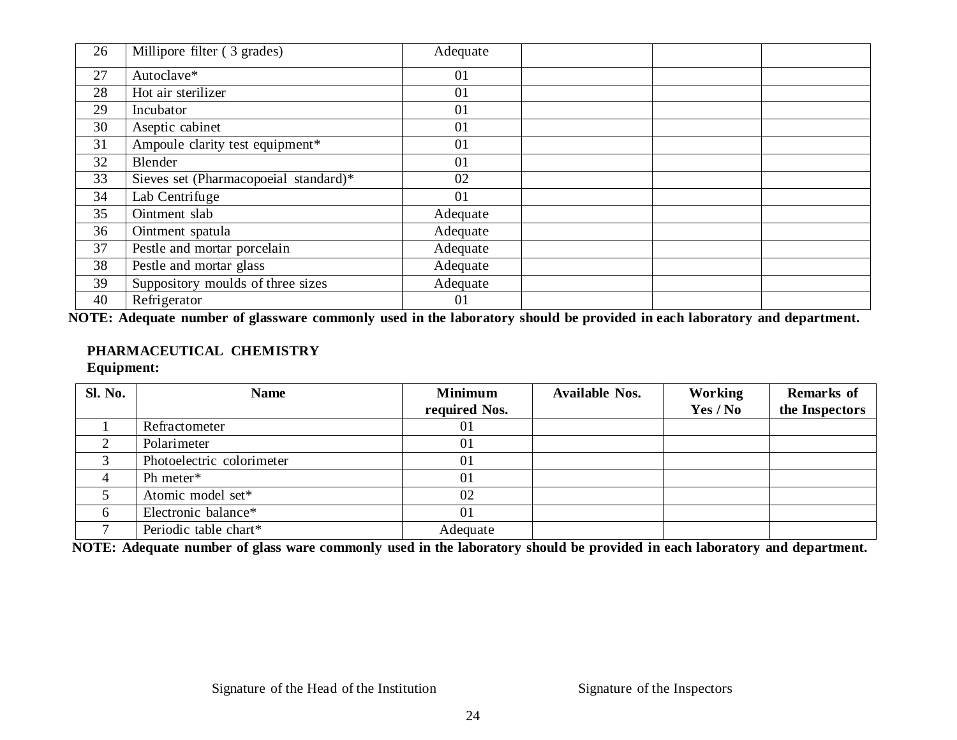| 26 | Millipore filter (3 grades)           | Adequate |  |  |
|----|---------------------------------------|----------|--|--|
| 27 | Autoclave*                            | 01       |  |  |
| 28 | Hot air sterilizer                    | 01       |  |  |
| 29 | Incubator                             | 01       |  |  |
| 30 | Aseptic cabinet                       | 01       |  |  |
| 31 | Ampoule clarity test equipment*       | 01       |  |  |
| 32 | Blender                               | 01       |  |  |
| 33 | Sieves set (Pharmacopoeial standard)* | 02       |  |  |
| 34 | Lab Centrifuge                        | 01       |  |  |
| 35 | Ointment slab                         | Adequate |  |  |
| 36 | Ointment spatula                      | Adequate |  |  |
| 37 | Pestle and mortar porcelain           | Adequate |  |  |
| 38 | Pestle and mortar glass               | Adequate |  |  |
| 39 | Suppository moulds of three sizes     | Adequate |  |  |
| 40 | Refrigerator                          | 01       |  |  |

NOTE: Adequate number of glassware commonly used in the laboratory should be provided in each laboratory and department.

### **PHARMACEUTICAL CHEMISTRY**

**Equipment:**

| <b>Sl. No.</b> | <b>Name</b>               | <b>Minimum</b> | <b>Available Nos.</b> | Working  | <b>Remarks</b> of |
|----------------|---------------------------|----------------|-----------------------|----------|-------------------|
|                |                           | required Nos.  |                       | Yes / No | the Inspectors    |
|                | Refractometer             | 01             |                       |          |                   |
|                | Polarimeter               | 01             |                       |          |                   |
|                | Photoelectric colorimeter | 01             |                       |          |                   |
| $\overline{4}$ | Ph meter*                 | 01             |                       |          |                   |
|                | Atomic model set*         | 02             |                       |          |                   |
| 6              | Electronic balance*       | 01             |                       |          |                   |
|                | Periodic table chart*     | Adequate       |                       |          |                   |

NOTE: Adequate number of glass ware commonly used in the laboratory should be provided in each laboratory and department.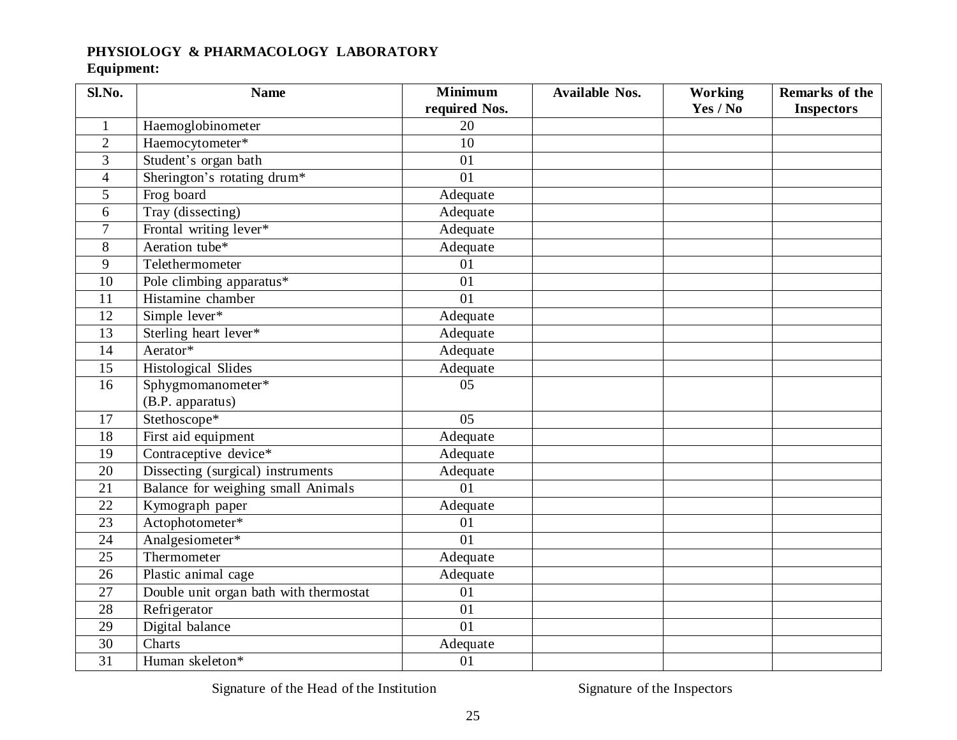### **PHYSIOLOGY & PHARMACOLOGY LABORATORY**

### **Equipment:**

| Sl.No.         | <b>Name</b>                            | <b>Minimum</b> | <b>Available Nos.</b> | <b>Working</b> | Remarks of the    |
|----------------|----------------------------------------|----------------|-----------------------|----------------|-------------------|
|                |                                        | required Nos.  |                       | Yes / No       | <b>Inspectors</b> |
| 1              | Haemoglobinometer                      | 20             |                       |                |                   |
| $\overline{2}$ | Haemocytometer*                        | 10             |                       |                |                   |
| 3              | Student's organ bath                   | 01             |                       |                |                   |
| $\overline{4}$ | Sherington's rotating drum*            | 01             |                       |                |                   |
| 5              | Frog board                             | Adequate       |                       |                |                   |
| 6              | Tray (dissecting)                      | Adequate       |                       |                |                   |
| $\overline{7}$ | Frontal writing lever*                 | Adequate       |                       |                |                   |
| 8              | Aeration tube*                         | Adequate       |                       |                |                   |
| 9              | Telethermometer                        | 01             |                       |                |                   |
| 10             | Pole climbing apparatus*               | 01             |                       |                |                   |
| 11             | Histamine chamber                      | 01             |                       |                |                   |
| 12             | Simple lever*                          | Adequate       |                       |                |                   |
| 13             | Sterling heart lever*                  | Adequate       |                       |                |                   |
| 14             | Aerator*                               | Adequate       |                       |                |                   |
| 15             | Histological Slides                    | Adequate       |                       |                |                   |
| 16             | Sphygmomanometer*                      | 05             |                       |                |                   |
|                | (B.P. apparatus)                       |                |                       |                |                   |
| 17             | Stethoscope*                           | 05             |                       |                |                   |
| 18             | First aid equipment                    | Adequate       |                       |                |                   |
| 19             | Contraceptive device*                  | Adequate       |                       |                |                   |
| 20             | Dissecting (surgical) instruments      | Adequate       |                       |                |                   |
| 21             | Balance for weighing small Animals     | 01             |                       |                |                   |
| 22             | Kymograph paper                        | Adequate       |                       |                |                   |
| 23             | Actophotometer*                        | 01             |                       |                |                   |
| 24             | Analgesiometer*                        | 01             |                       |                |                   |
| 25             | Thermometer                            | Adequate       |                       |                |                   |
| 26             | Plastic animal cage                    | Adequate       |                       |                |                   |
| 27             | Double unit organ bath with thermostat | 01             |                       |                |                   |
| 28             | Refrigerator                           | 01             |                       |                |                   |
| 29             | Digital balance                        | 01             |                       |                |                   |
| 30             | Charts                                 | Adequate       |                       |                |                   |
| 31             | Human skeleton*                        | 01             |                       |                |                   |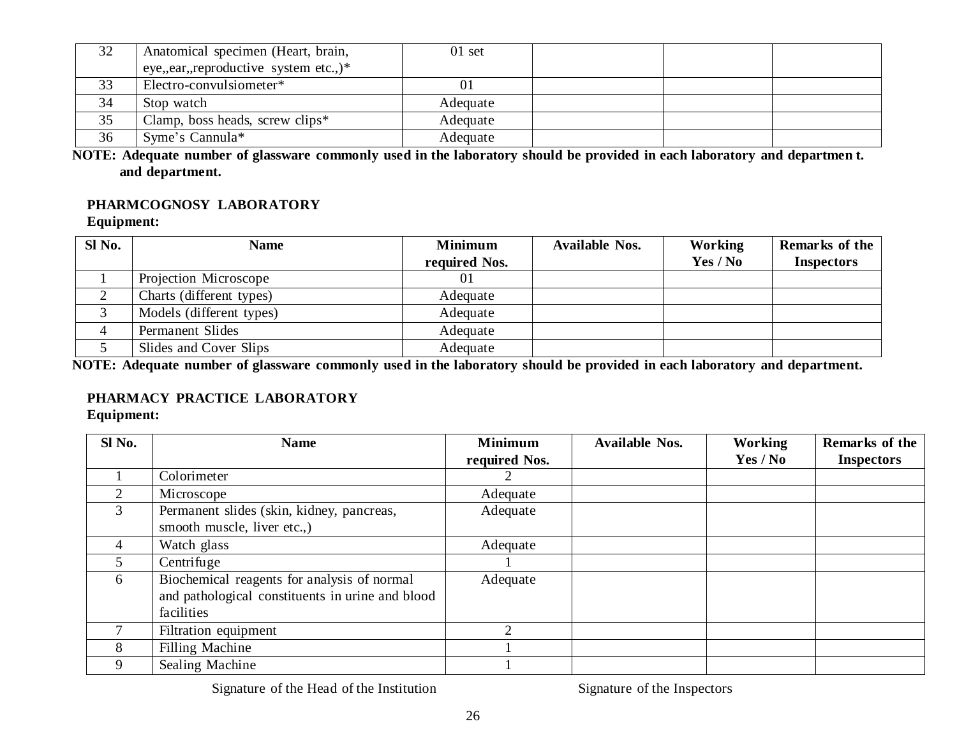| 32 | Anatomical specimen (Heart, brain,    | $01$ set |  |  |
|----|---------------------------------------|----------|--|--|
|    | eye,,ear,,reproductive system etc.,)* |          |  |  |
| 33 | Electro-convulsiometer*               | 01       |  |  |
| 34 | Stop watch                            | Adequate |  |  |
| 35 | Clamp, boss heads, screw clips*       | Adequate |  |  |
| 36 | Syme's Cannula*                       | Adequate |  |  |

NOTE: Adequate number of glassware commonly used in the laboratory should be provided in each laboratory and department. **and department.**

#### **PHARMCOGNOSY LABORATORY**

**Equipment:**

| Sl No. | <b>Name</b>              | <b>Minimum</b> | <b>Available Nos.</b> | Working  | Remarks of the    |
|--------|--------------------------|----------------|-----------------------|----------|-------------------|
|        |                          | required Nos.  |                       | Yes / No | <b>Inspectors</b> |
|        | Projection Microscope    | 01             |                       |          |                   |
|        | Charts (different types) | Adequate       |                       |          |                   |
|        | Models (different types) | Adequate       |                       |          |                   |
| 4      | Permanent Slides         | Adequate       |                       |          |                   |
|        | Slides and Cover Slips   | Adequate       |                       |          |                   |

NOTE: Adequate number of glassware commonly used in the laboratory should be provided in each laboratory and department.

#### **PHARMACY PRACTICE LABORATORY**

**Equipment:**

| Sl No.                      | <b>Name</b>                                      | <b>Minimum</b>              | <b>Available Nos.</b> | <b>Working</b> | Remarks of the    |
|-----------------------------|--------------------------------------------------|-----------------------------|-----------------------|----------------|-------------------|
|                             |                                                  | required Nos.               |                       | Yes / No       | <b>Inspectors</b> |
|                             | Colorimeter                                      |                             |                       |                |                   |
| $\mathcal{D}_{\mathcal{L}}$ | Microscope                                       | Adequate                    |                       |                |                   |
| $\mathfrak{Z}$              | Permanent slides (skin, kidney, pancreas,        | Adequate                    |                       |                |                   |
|                             | smooth muscle, liver etc.,)                      |                             |                       |                |                   |
| 4                           | Watch glass                                      | Adequate                    |                       |                |                   |
| 5.                          | Centrifuge                                       |                             |                       |                |                   |
| 6                           | Biochemical reagents for analysis of normal      | Adequate                    |                       |                |                   |
|                             | and pathological constituents in urine and blood |                             |                       |                |                   |
|                             | facilities                                       |                             |                       |                |                   |
|                             | Filtration equipment                             | $\mathcal{D}_{\mathcal{L}}$ |                       |                |                   |
| 8                           | <b>Filling Machine</b>                           |                             |                       |                |                   |
| 9                           | Sealing Machine                                  |                             |                       |                |                   |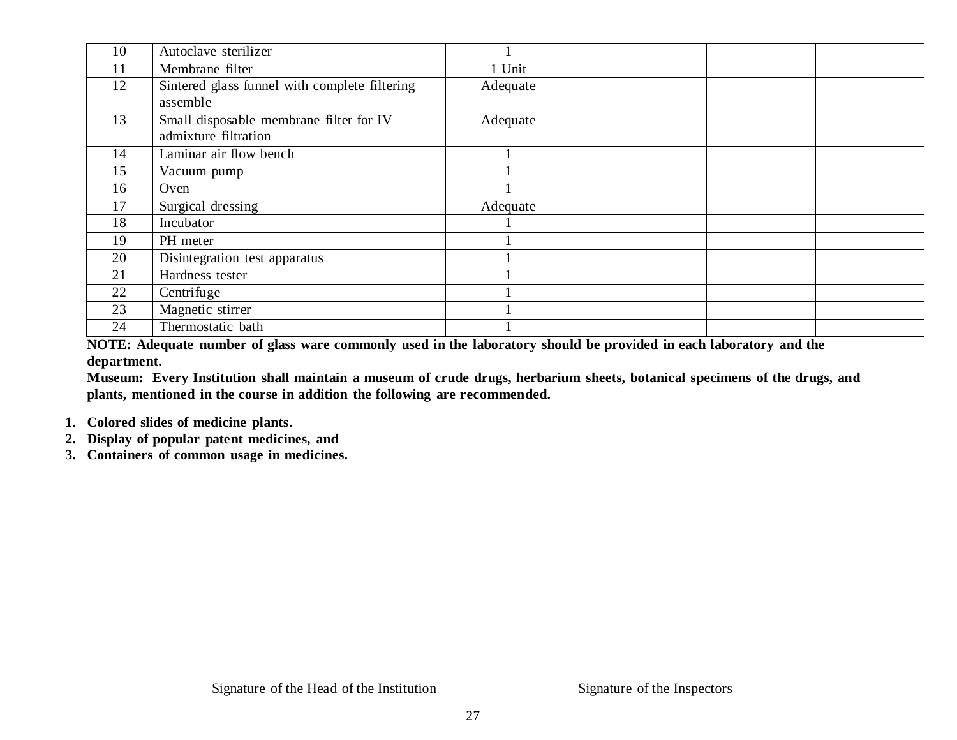| 10 | Autoclave sterilizer                                            |          |  |
|----|-----------------------------------------------------------------|----------|--|
| 11 | Membrane filter                                                 | 1 Unit   |  |
| 12 | Sintered glass funnel with complete filtering<br>assemble       | Adequate |  |
| 13 | Small disposable membrane filter for IV<br>admixture filtration | Adequate |  |
| 14 | Laminar air flow bench                                          |          |  |
| 15 | Vacuum pump                                                     |          |  |
| 16 | Oven                                                            |          |  |
| 17 | Surgical dressing                                               | Adequate |  |
| 18 | Incubator                                                       |          |  |
| 19 | PH meter                                                        |          |  |
| 20 | Disintegration test apparatus                                   |          |  |
| 21 | Hardness tester                                                 |          |  |
| 22 | Centrifuge                                                      |          |  |
| 23 | Magnetic stirrer                                                |          |  |
| 24 | Thermostatic bath                                               |          |  |

NOTE: Adequate number of glass ware commonly used in the laboratory should be provided in each laboratory and the **department.**

Museum: Every Institution shall maintain a museum of crude drugs, herbarium sheets, botanical specimens of the drugs, and **plants, mentioned in the course in addition the following are recommended.**

- **1. Colored slides of medicine plants.**
- **2. Display of popular patent medicines, and**
- **3. Containers of common usage in medicines.**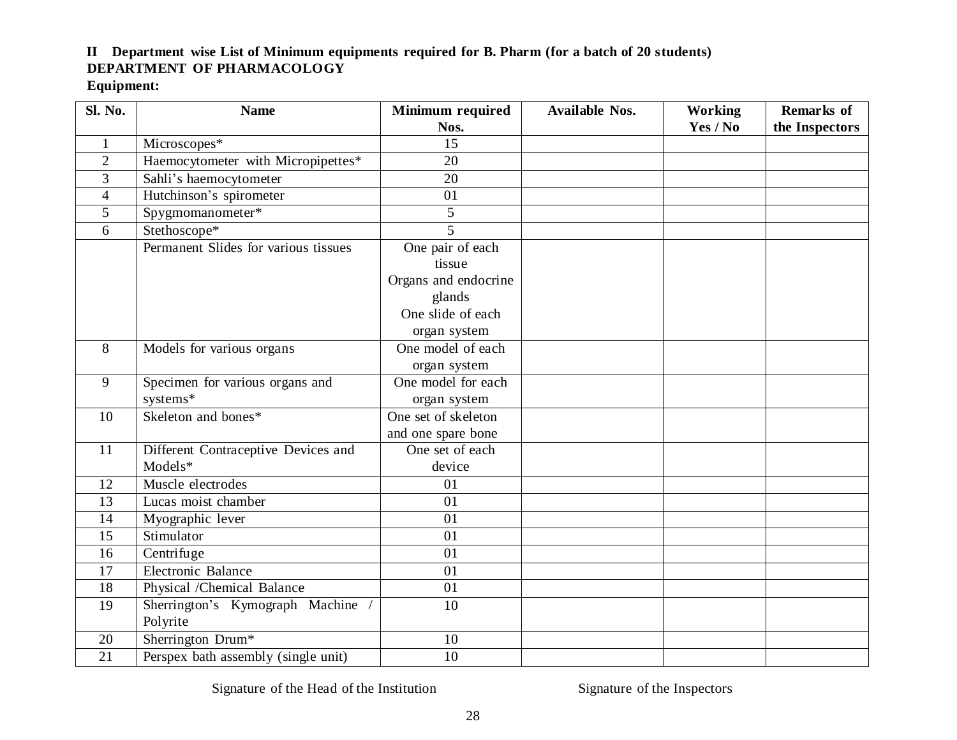### **II Department wise List of Minimum equipments required for B. Pharm (for a batch of 20 students) DEPARTMENT OF PHARMACOLOGY**

#### **Equipment:**

| Sl. No.        | <b>Name</b>                          | <b>Minimum required</b> | <b>Available Nos.</b> | <b>Working</b> | <b>Remarks</b> of |
|----------------|--------------------------------------|-------------------------|-----------------------|----------------|-------------------|
|                |                                      | Nos.                    |                       | Yes / No       | the Inspectors    |
| $\mathbf{1}$   | Microscopes*                         | 15                      |                       |                |                   |
| $\overline{2}$ | Haemocytometer with Micropipettes*   | 20                      |                       |                |                   |
| 3              | Sahli's haemocytometer               | 20                      |                       |                |                   |
| $\overline{4}$ | Hutchinson's spirometer              | 01                      |                       |                |                   |
| 5              | Spygmomanometer*                     | 5                       |                       |                |                   |
| 6              | Stethoscope*                         | 5                       |                       |                |                   |
|                | Permanent Slides for various tissues | One pair of each        |                       |                |                   |
|                |                                      | tissue                  |                       |                |                   |
|                |                                      | Organs and endocrine    |                       |                |                   |
|                |                                      | glands                  |                       |                |                   |
|                |                                      | One slide of each       |                       |                |                   |
|                |                                      | organ system            |                       |                |                   |
| 8              | Models for various organs            | One model of each       |                       |                |                   |
|                |                                      | organ system            |                       |                |                   |
| 9              | Specimen for various organs and      | One model for each      |                       |                |                   |
|                | systems*                             | organ system            |                       |                |                   |
| 10             | Skeleton and bones*                  | One set of skeleton     |                       |                |                   |
|                |                                      | and one spare bone      |                       |                |                   |
| 11             | Different Contraceptive Devices and  | One set of each         |                       |                |                   |
|                | Models*                              | device                  |                       |                |                   |
| 12             | Muscle electrodes                    | 01                      |                       |                |                   |
| 13             | Lucas moist chamber                  | 01                      |                       |                |                   |
| 14             | Myographic lever                     | 01                      |                       |                |                   |
| 15             | Stimulator                           | 01                      |                       |                |                   |
| 16             | Centrifuge                           | 01                      |                       |                |                   |
| 17             | Electronic Balance                   | 01                      |                       |                |                   |
| 18             | Physical /Chemical Balance           | 01                      |                       |                |                   |
| 19             | Sherrington's Kymograph Machine /    | 10                      |                       |                |                   |
|                | Polyrite                             |                         |                       |                |                   |
| 20             | Sherrington Drum*                    | 10                      |                       |                |                   |
| 21             | Perspex bath assembly (single unit)  | 10                      |                       |                |                   |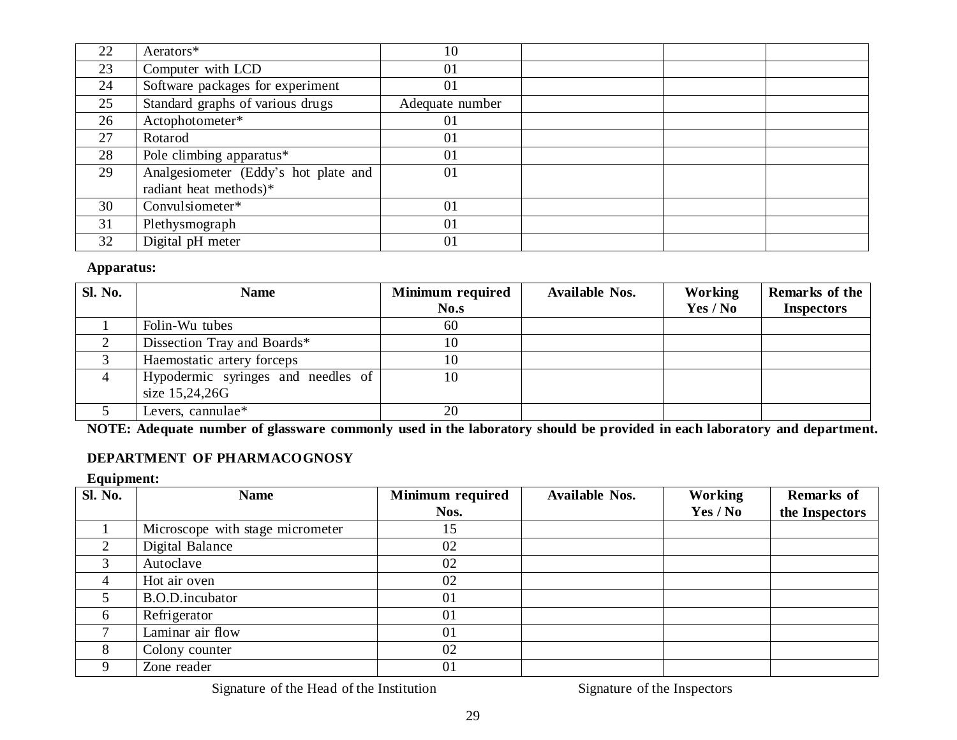| 22 | Aerators*                            | 10              |  |
|----|--------------------------------------|-----------------|--|
| 23 | Computer with LCD                    | 01              |  |
| 24 | Software packages for experiment     | 01              |  |
| 25 | Standard graphs of various drugs     | Adequate number |  |
| 26 | Actophotometer*                      | 01              |  |
| 27 | Rotarod                              | 01              |  |
| 28 | Pole climbing apparatus*             | 01              |  |
| 29 | Analgesiometer (Eddy's hot plate and | 01              |  |
|    | radiant heat methods)*               |                 |  |
| 30 | Convulsiometer*                      | 01              |  |
| 31 | Plethysmograph                       | 01              |  |
| 32 | Digital pH meter                     | 01              |  |

| <b>Sl. No.</b> | <b>Name</b>                        | <b>Minimum</b> required | <b>Available Nos.</b> | Working  | Remarks of the    |
|----------------|------------------------------------|-------------------------|-----------------------|----------|-------------------|
|                |                                    | No.s                    |                       | Yes / No | <b>Inspectors</b> |
|                | Folin-Wu tubes                     | 60                      |                       |          |                   |
|                | Dissection Tray and Boards*        | 10                      |                       |          |                   |
|                | Haemostatic artery forceps         | 10                      |                       |          |                   |
|                | Hypodermic syringes and needles of | 10                      |                       |          |                   |
|                | size 15,24,26G                     |                         |                       |          |                   |
|                | Levers, cannulae*                  | 20                      |                       |          |                   |

NOTE: Adequate number of glassware commonly used in the laboratory should be provided in each laboratory and department.

### **DEPARTMENT OF PHARMACOGNOSY**

#### **Equipment:**

| <b>Sl. No.</b> | <b>Name</b>                      | Minimum required | <b>Available Nos.</b> | <b>Working</b> | <b>Remarks</b> of |
|----------------|----------------------------------|------------------|-----------------------|----------------|-------------------|
|                |                                  | Nos.             |                       | Yes / No       | the Inspectors    |
|                | Microscope with stage micrometer | 15               |                       |                |                   |
| 2              | Digital Balance                  | 02               |                       |                |                   |
|                | Autoclave                        | 02               |                       |                |                   |
| 4              | Hot air oven                     | 02               |                       |                |                   |
|                | B.O.D.incubator                  | 01               |                       |                |                   |
| 6              | Refrigerator                     | 01               |                       |                |                   |
|                | Laminar air flow                 | 01               |                       |                |                   |
| 8              | Colony counter                   | 02               |                       |                |                   |
|                | Zone reader                      | 01               |                       |                |                   |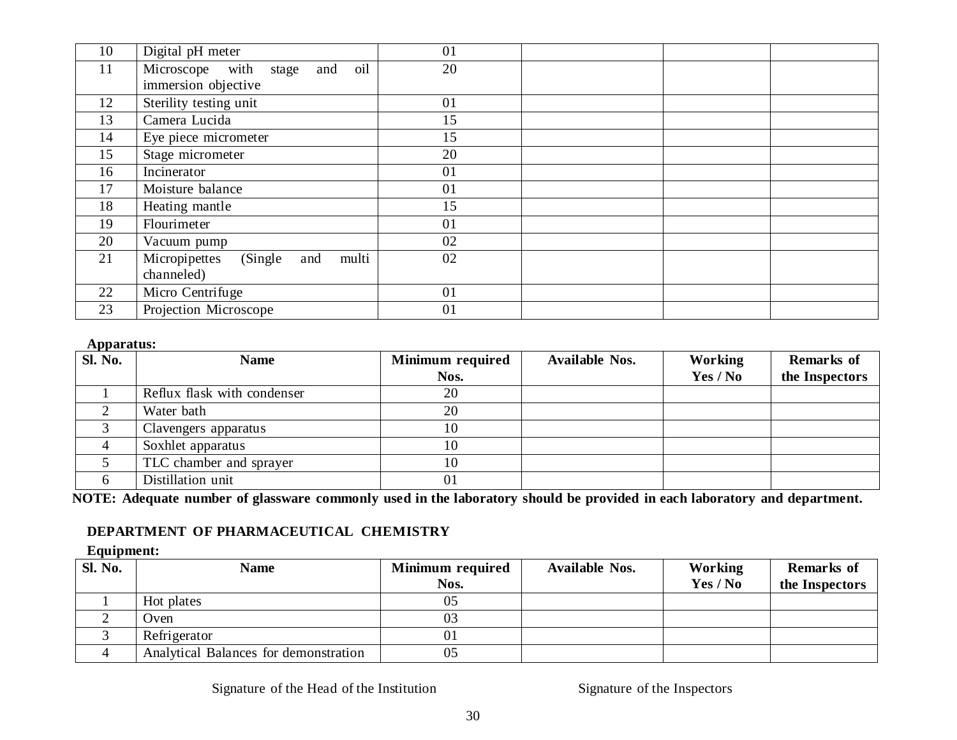| 10 | Digital pH meter                          | 01 |  |
|----|-------------------------------------------|----|--|
| 11 | oil<br>Microscope with<br>and<br>stage    | 20 |  |
|    | immersion objective                       |    |  |
| 12 | Sterility testing unit                    | 01 |  |
| 13 | Camera Lucida                             | 15 |  |
| 14 | Eye piece micrometer                      | 15 |  |
| 15 | Stage micrometer                          | 20 |  |
| 16 | Incinerator                               | 01 |  |
| 17 | Moisture balance                          | 01 |  |
| 18 | Heating mantle                            | 15 |  |
| 19 | Flourimeter                               | 01 |  |
| 20 | Vacuum pump                               | 02 |  |
| 21 | Micropipettes<br>(Single)<br>multi<br>and | 02 |  |
|    | channeled)                                |    |  |
| 22 | Micro Centrifuge                          | 01 |  |
| 23 | Projection Microscope                     | 01 |  |

| <b>Sl. No.</b> | <b>Name</b>                 | Minimum required | <b>Available Nos.</b> | <b>Working</b> | <b>Remarks of</b> |
|----------------|-----------------------------|------------------|-----------------------|----------------|-------------------|
|                |                             | Nos.             |                       | Yes / No       | the Inspectors    |
|                | Reflux flask with condenser | 20               |                       |                |                   |
|                | Water bath                  | 20               |                       |                |                   |
|                | Clavengers apparatus        | 10               |                       |                |                   |
|                | Soxhlet apparatus           | 10               |                       |                |                   |
|                | TLC chamber and sprayer     | 10               |                       |                |                   |
|                | Distillation unit           | 01               |                       |                |                   |

NOTE: Adequate number of glassware commonly used in the laboratory should be provided in each laboratory and department.

### **DEPARTMENT OF PHARMACEUTICAL CHEMISTRY**

#### **Equipment:**

| Sl. No. | <b>Name</b>                           | Minimum required | <b>Available Nos.</b> | Working  | <b>Remarks</b> of |
|---------|---------------------------------------|------------------|-----------------------|----------|-------------------|
|         |                                       | Nos.             |                       | Yes / No | the Inspectors    |
|         | Hot plates                            | 05               |                       |          |                   |
|         | : ) ven                               | 03               |                       |          |                   |
|         | Refrigerator                          |                  |                       |          |                   |
|         | Analytical Balances for demonstration | 05               |                       |          |                   |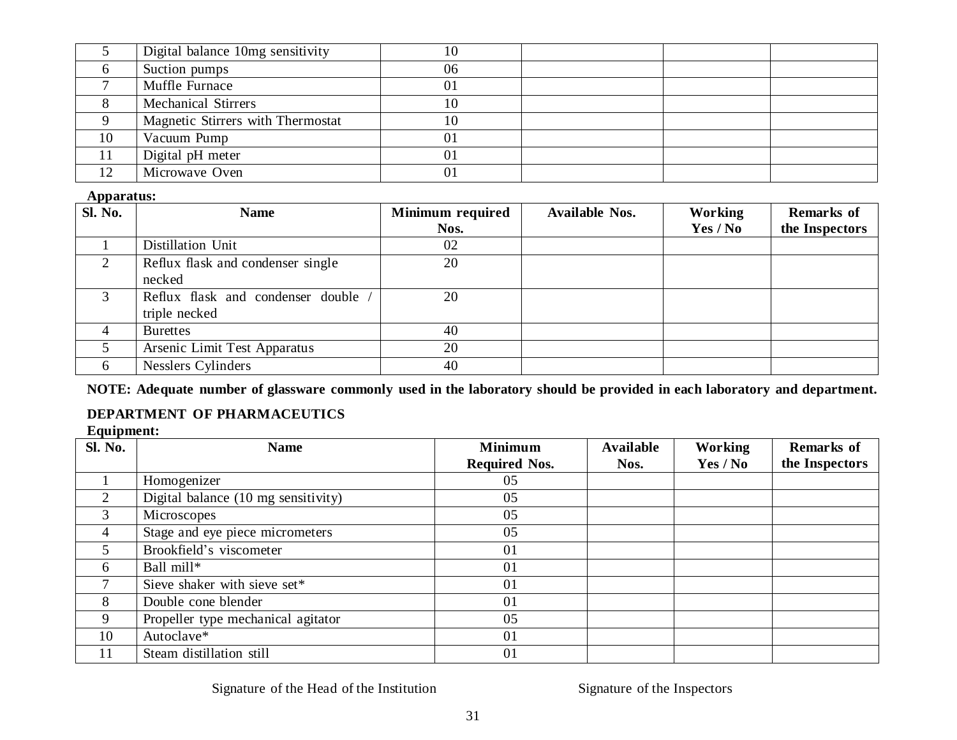|    | Digital balance 10mg sensitivity  | 10 |  |  |
|----|-----------------------------------|----|--|--|
|    | Suction pumps                     | 06 |  |  |
|    | Muffle Furnace                    | 01 |  |  |
|    | <b>Mechanical Stirrers</b>        |    |  |  |
|    | Magnetic Stirrers with Thermostat |    |  |  |
| 10 | Vacuum Pump                       | 01 |  |  |
| 11 | Digital pH meter                  |    |  |  |
| 12 | Microwave Oven                    |    |  |  |

| $\overline{SI. No.}$ | <b>Name</b>                       | Minimum required | <b>Available Nos.</b> | <b>Working</b> | <b>Remarks of</b> |
|----------------------|-----------------------------------|------------------|-----------------------|----------------|-------------------|
|                      |                                   | Nos.             |                       | Yes / No       | the Inspectors    |
|                      | Distillation Unit                 | 02               |                       |                |                   |
| 2                    | Reflux flask and condenser single | 20               |                       |                |                   |
|                      | necked                            |                  |                       |                |                   |
| 3                    | Reflux flask and condenser double | 20               |                       |                |                   |
|                      | triple necked                     |                  |                       |                |                   |
| $\overline{4}$       | <b>Burettes</b>                   | 40               |                       |                |                   |
|                      | Arsenic Limit Test Apparatus      | 20               |                       |                |                   |
| 6                    | Nesslers Cylinders                | 40               |                       |                |                   |

NOTE: Adequate number of glassware commonly used in the laboratory should be provided in each laboratory and department.

### **DEPARTMENT OF PHARMACEUTICS**

#### **Equipment:**

| <b>Sl. No.</b> | <b>Name</b>                         | <b>Minimum</b><br><b>Required Nos.</b> | <b>Available</b><br>Nos. | Working<br>Yes / No | <b>Remarks of</b><br>the Inspectors |
|----------------|-------------------------------------|----------------------------------------|--------------------------|---------------------|-------------------------------------|
|                | Homogenizer                         | 05                                     |                          |                     |                                     |
| 2              | Digital balance (10 mg sensitivity) | 05                                     |                          |                     |                                     |
| 3              | Microscopes                         | 05                                     |                          |                     |                                     |
| $\overline{4}$ | Stage and eye piece micrometers     | 05                                     |                          |                     |                                     |
| 5              | Brookfield's viscometer             | 01                                     |                          |                     |                                     |
| 6              | Ball mill*                          | 01                                     |                          |                     |                                     |
|                | Sieve shaker with sieve set*        | 01                                     |                          |                     |                                     |
| 8              | Double cone blender                 | 01                                     |                          |                     |                                     |
| 9              | Propeller type mechanical agitator  | 05                                     |                          |                     |                                     |
| 10             | Autoclave*                          | 01                                     |                          |                     |                                     |
| 11             | Steam distillation still            | 01                                     |                          |                     |                                     |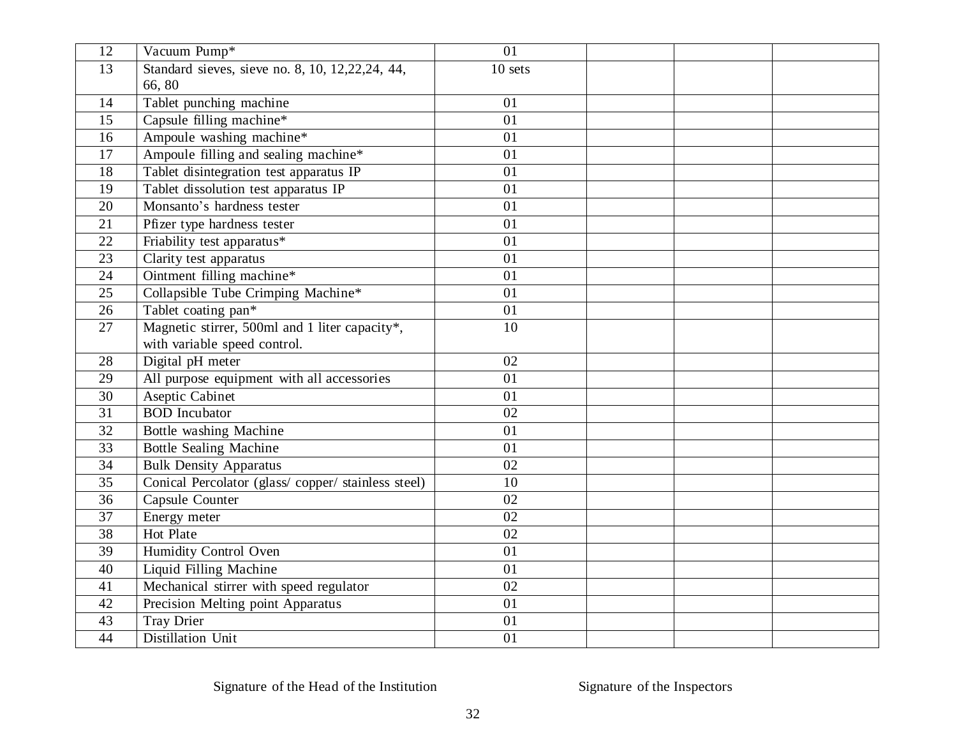| 12 | Vacuum Pump*                                      | 01                 |  |  |
|----|---------------------------------------------------|--------------------|--|--|
| 13 | Standard sieves, sieve no. 8, 10, 12, 22, 24, 44, | 10 <sub>sets</sub> |  |  |
|    | 66,80                                             |                    |  |  |
| 14 | Tablet punching machine                           | 01                 |  |  |
| 15 | Capsule filling machine*                          | 01                 |  |  |
| 16 | Ampoule washing machine*                          | 01                 |  |  |
| 17 | Ampoule filling and sealing machine*              | 01                 |  |  |
| 18 | Tablet disintegration test apparatus IP           | 01                 |  |  |
| 19 | Tablet dissolution test apparatus IP              | 01                 |  |  |
| 20 | Monsanto's hardness tester                        | 01                 |  |  |
| 21 | Pfizer type hardness tester                       | 01                 |  |  |
| 22 | Friability test apparatus*                        | 01                 |  |  |
| 23 | Clarity test apparatus                            | 01                 |  |  |
| 24 | Ointment filling machine*                         | 01                 |  |  |
| 25 | Collapsible Tube Crimping Machine*                | 01                 |  |  |
| 26 | Tablet coating pan*                               | 01                 |  |  |
| 27 | Magnetic stirrer, 500ml and 1 liter capacity*,    | 10                 |  |  |
|    | with variable speed control.                      |                    |  |  |
| 28 | Digital pH meter                                  | 02                 |  |  |
| 29 | All purpose equipment with all accessories        | 01                 |  |  |
| 30 | <b>Aseptic Cabinet</b>                            | 01                 |  |  |
| 31 | <b>BOD</b> Incubator                              | 02                 |  |  |
| 32 | Bottle washing Machine                            | 01                 |  |  |
| 33 | <b>Bottle Sealing Machine</b>                     | 01                 |  |  |
| 34 | <b>Bulk Density Apparatus</b>                     | 02                 |  |  |
| 35 | Conical Percolator (glass/copper/stainless steel) | 10                 |  |  |
| 36 | Capsule Counter                                   | 02                 |  |  |
| 37 | Energy meter                                      | 02                 |  |  |
| 38 | Hot Plate                                         | 02                 |  |  |
| 39 | Humidity Control Oven                             | 01                 |  |  |
| 40 | Liquid Filling Machine                            | 01                 |  |  |
| 41 | Mechanical stirrer with speed regulator           | 02                 |  |  |
| 42 | Precision Melting point Apparatus                 | 01                 |  |  |
| 43 | <b>Tray Drier</b>                                 | 01                 |  |  |
| 44 | Distillation Unit                                 | 01                 |  |  |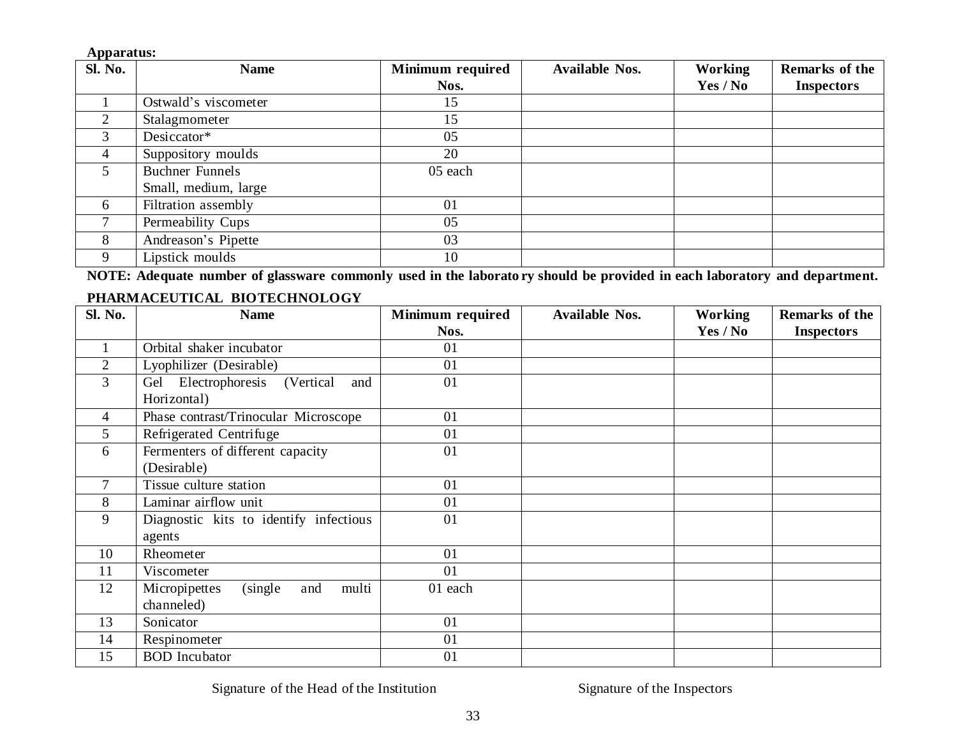| Sl. No. | <b>Name</b>            | Minimum required | <b>Available Nos.</b> | Working  | Remarks of the    |
|---------|------------------------|------------------|-----------------------|----------|-------------------|
|         |                        | Nos.             |                       | Yes / No | <b>Inspectors</b> |
|         | Ostwald's viscometer   | 15               |                       |          |                   |
| 2       | Stalagmometer          | 15               |                       |          |                   |
| 3       | Desiccator*            | 05               |                       |          |                   |
| 4       | Suppository moulds     | 20               |                       |          |                   |
|         | <b>Buchner Funnels</b> | 05 each          |                       |          |                   |
|         | Small, medium, large   |                  |                       |          |                   |
| 6       | Filtration assembly    | 01               |                       |          |                   |
|         | Permeability Cups      | 05               |                       |          |                   |
| 8       | Andreason's Pipette    | 03               |                       |          |                   |
|         | Lipstick moulds        | 10               |                       |          |                   |

NOTE: Adequate number of glassware commonly used in the laborato ry should be provided in each laboratory and department.

### **PHARMACEUTICAL BIOTECHNOLOGY**

| Sl. No.        | <b>Name</b>                               | Minimum required | <b>Available Nos.</b> | <b>Working</b> | Remarks of the    |
|----------------|-------------------------------------------|------------------|-----------------------|----------------|-------------------|
|                |                                           | Nos.             |                       | Yes / No       | <b>Inspectors</b> |
|                | Orbital shaker incubator                  | 01               |                       |                |                   |
| $\overline{2}$ | Lyophilizer (Desirable)                   | 01               |                       |                |                   |
| 3              | Gel Electrophoresis<br>(Vertical)<br>and  | 01               |                       |                |                   |
|                | Horizontal)                               |                  |                       |                |                   |
| $\overline{4}$ | Phase contrast/Trinocular Microscope      | 01               |                       |                |                   |
| 5              | Refrigerated Centrifuge                   | 01               |                       |                |                   |
| 6              | Fermenters of different capacity          | 01               |                       |                |                   |
|                | (Desirable)                               |                  |                       |                |                   |
| $\tau$         | Tissue culture station                    | 01               |                       |                |                   |
| 8              | Laminar airflow unit                      | 01               |                       |                |                   |
| 9              | Diagnostic kits to identify infectious    | 01               |                       |                |                   |
|                | agents                                    |                  |                       |                |                   |
| 10             | Rheometer                                 | 01               |                       |                |                   |
| 11             | Viscometer                                | 01               |                       |                |                   |
| 12             | multi<br>Micropipettes<br>(single)<br>and | 01 each          |                       |                |                   |
|                | channeled)                                |                  |                       |                |                   |
| 13             | Sonicator                                 | 01               |                       |                |                   |
| 14             | Respinometer                              | 01               |                       |                |                   |
| 15             | <b>BOD</b> Incubator                      | 01               |                       |                |                   |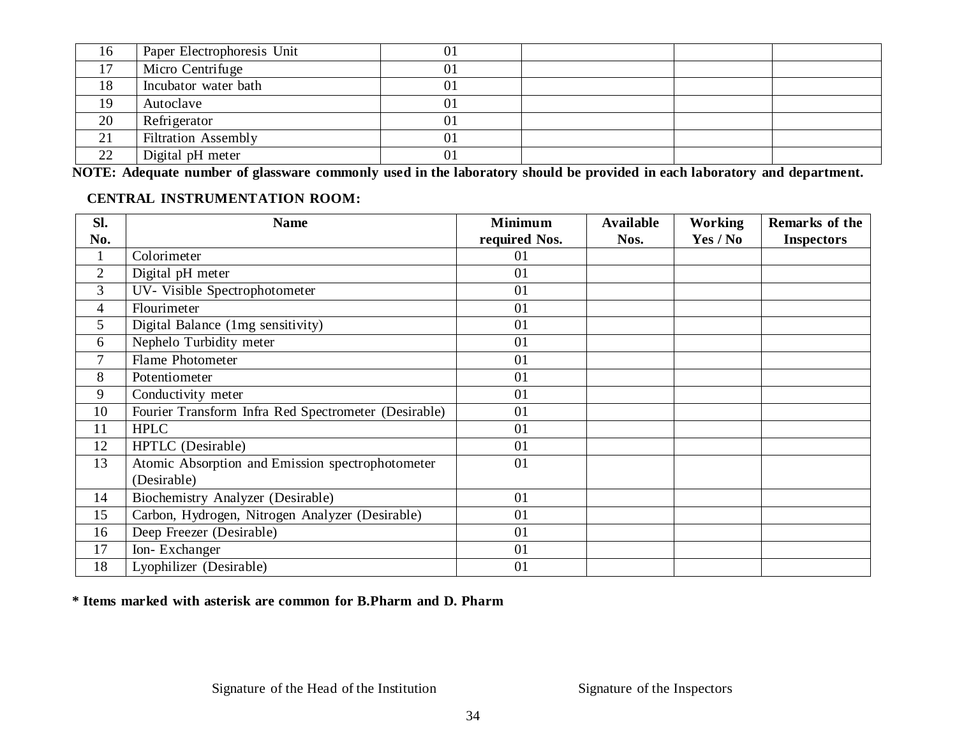| 16 | Paper Electrophoresis Unit | 0 <sub>1</sub> |  |  |
|----|----------------------------|----------------|--|--|
| 17 | Micro Centrifuge           | 01             |  |  |
| 18 | Incubator water bath       | 01             |  |  |
| 19 | Autoclave                  | $\overline{0}$ |  |  |
| 20 | Refrigerator               | 0 <sup>1</sup> |  |  |
| 21 | <b>Filtration Assembly</b> | 0 <sup>1</sup> |  |  |
| 22 | Digital pH meter           | 0 <sup>1</sup> |  |  |

NOTE: Adequate number of glassware commonly used in the laboratory should be provided in each laboratory and department.

### **CENTRAL INSTRUMENTATION ROOM:**

| SI.            | <b>Name</b>                                          | <b>Minimum</b> | <b>Available</b> | <b>Working</b> | Remarks of the    |
|----------------|------------------------------------------------------|----------------|------------------|----------------|-------------------|
| No.            |                                                      | required Nos.  | Nos.             | Yes / No       | <b>Inspectors</b> |
| $\mathbf{1}$   | Colorimeter                                          | 01             |                  |                |                   |
| $\overline{2}$ | Digital pH meter                                     | 01             |                  |                |                   |
| 3              | UV- Visible Spectrophotometer                        | 01             |                  |                |                   |
| $\overline{4}$ | Flourimeter                                          | 01             |                  |                |                   |
| 5              | Digital Balance (1mg sensitivity)                    | 01             |                  |                |                   |
| 6              | Nephelo Turbidity meter                              | 01             |                  |                |                   |
| 7              | Flame Photometer                                     | 01             |                  |                |                   |
| 8              | Potentiometer                                        | 01             |                  |                |                   |
| 9              | Conductivity meter                                   | 01             |                  |                |                   |
| 10             | Fourier Transform Infra Red Spectrometer (Desirable) | 01             |                  |                |                   |
| 11             | <b>HPLC</b>                                          | 01             |                  |                |                   |
| 12             | HPTLC (Desirable)                                    | 01             |                  |                |                   |
| 13             | Atomic Absorption and Emission spectrophotometer     | 01             |                  |                |                   |
|                | (Desirable)                                          |                |                  |                |                   |
| 14             | Biochemistry Analyzer (Desirable)                    | 01             |                  |                |                   |
| 15             | Carbon, Hydrogen, Nitrogen Analyzer (Desirable)      | 01             |                  |                |                   |
| 16             | Deep Freezer (Desirable)                             | 01             |                  |                |                   |
| 17             | Ion-Exchanger                                        | 01             |                  |                |                   |
| 18             | Lyophilizer (Desirable)                              | 01             |                  |                |                   |

**\* Items marked with asterisk are common for B.Pharm and D. Pharm**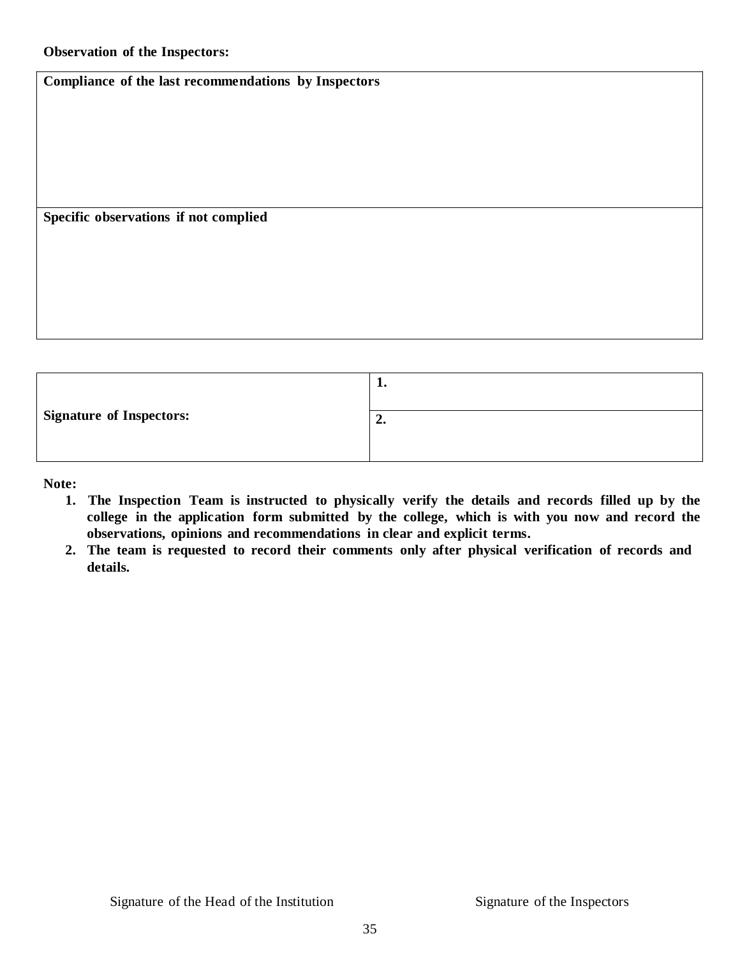**Compliance of the last recommendations by Inspectors**

**Specific observations if not complied**

|                                 | ı. |
|---------------------------------|----|
| <b>Signature of Inspectors:</b> | "  |

**Note:**

- **1. The Inspection Team is instructed to physically verify the details and records filled up by the college in the application form submitted by the college, which is with you now and record the observations, opinions and recommendations in clear and explicit terms.**
- **2. The team is requested to record their comments only after physical verification of records and details.**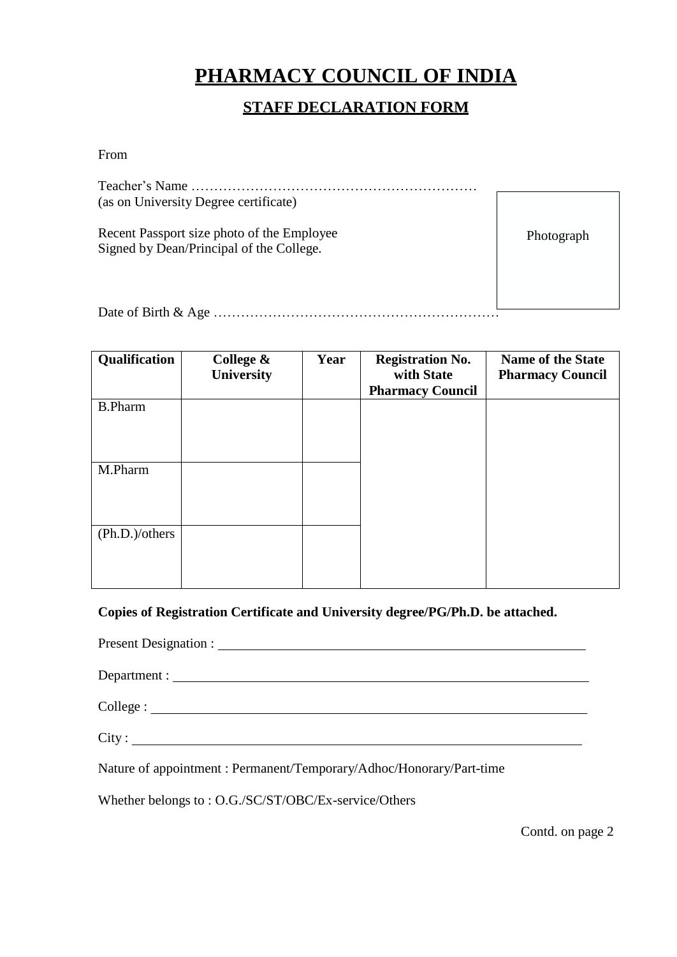## **PHARMACY COUNCIL OF INDIA**

## **STAFF DECLARATION FORM**

From

| (as on University Degree certificate)                                                  |            |
|----------------------------------------------------------------------------------------|------------|
| Recent Passport size photo of the Employee<br>Signed by Dean/Principal of the College. | Photograph |
|                                                                                        |            |

Date of Birth & Age ………………………………………………………

| Qualification  | College &<br>University | Year | <b>Registration No.</b><br>with State<br><b>Pharmacy Council</b> | <b>Name of the State</b><br><b>Pharmacy Council</b> |
|----------------|-------------------------|------|------------------------------------------------------------------|-----------------------------------------------------|
| <b>B.Pharm</b> |                         |      |                                                                  |                                                     |
| M.Pharm        |                         |      |                                                                  |                                                     |
| (Ph.D.)/others |                         |      |                                                                  |                                                     |

**Copies of Registration Certificate and University degree/PG/Ph.D. be attached.**

Present Designation :

Department :

College :

City :

Nature of appointment : Permanent/Temporary/Adhoc/Honorary/Part-time

Whether belongs to : O.G./SC/ST/OBC/Ex-service/Others

Contd. on page 2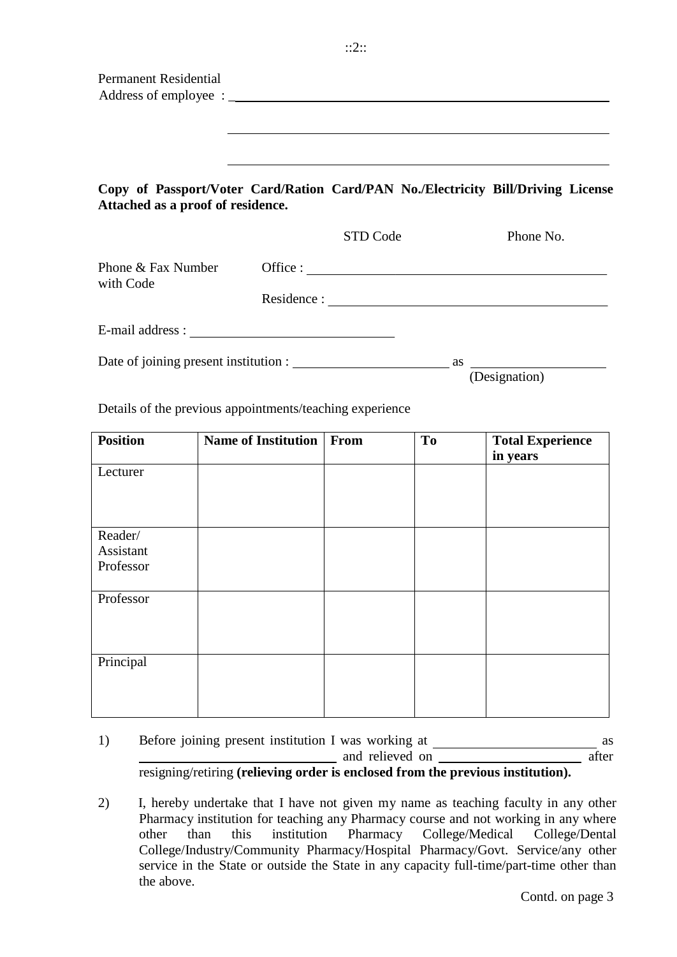| <b>Permanent Residential</b>      |                                                                                                                       |          |                |                                     |
|-----------------------------------|-----------------------------------------------------------------------------------------------------------------------|----------|----------------|-------------------------------------|
|                                   | Copy of Passport/Voter Card/Ration Card/PAN No./Electricity Bill/Driving License<br>Attached as a proof of residence. |          |                |                                     |
|                                   |                                                                                                                       | STD Code |                | Phone No.                           |
| Phone & Fax Number<br>with Code   |                                                                                                                       |          |                | Office : $\qquad \qquad$            |
|                                   |                                                                                                                       |          |                |                                     |
|                                   | Details of the previous appointments/teaching experience                                                              |          |                | (Designation)                       |
| <b>Position</b>                   | Name of Institution   From                                                                                            |          | T <sub>o</sub> | <b>Total Experience</b><br>in years |
| Lecturer                          |                                                                                                                       |          |                |                                     |
| Reader/<br>Assistant<br>Professor |                                                                                                                       |          |                |                                     |
| Professor                         |                                                                                                                       |          |                |                                     |
| Principal                         |                                                                                                                       |          |                |                                     |

1) Before joining present institution I was working at and relieved on after resigning/retiring **(relieving order is enclosed from the previous institution).** as

2) I, hereby undertake that I have not given my name as teaching faculty in any other Pharmacy institution for teaching any Pharmacy course and not working in any where other than this institution Pharmacy College/Medical College/Dental College/Industry/Community Pharmacy/Hospital Pharmacy/Govt. Service/any other service in the State or outside the State in any capacity full-time/part-time other than the above.

Contd. on page 3

::2::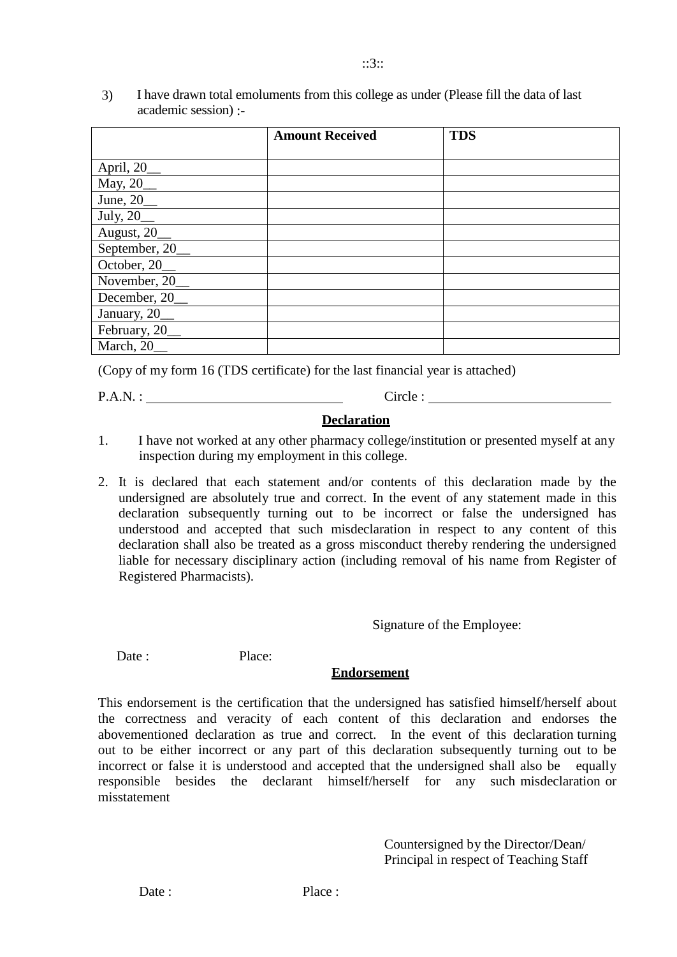|                                          | <b>Amount Received</b> | <b>TDS</b> |
|------------------------------------------|------------------------|------------|
|                                          |                        |            |
| April, 20_                               |                        |            |
|                                          |                        |            |
| $\frac{\text{May, }20}{\text{June, }20}$ |                        |            |
|                                          |                        |            |
| $\frac{July, 20}{August, 20}$            |                        |            |
| September, 20_                           |                        |            |
| October, 20_                             |                        |            |
| November, 20_                            |                        |            |
| December, 20_                            |                        |            |
| January, 20_                             |                        |            |
| February, 20_                            |                        |            |
| March, 20                                |                        |            |

3) I have drawn total emoluments from this college as under (Please fill the data of last academic session) :-

(Copy of my form 16 (TDS certificate) for the last financial year is attached)

P.A.N. : Circle :

#### **Declaration**

- 1. I have not worked at any other pharmacy college/institution or presented myself at any inspection during my employment in this college.
- 2. It is declared that each statement and/or contents of this declaration made by the undersigned are absolutely true and correct. In the event of any statement made in this declaration subsequently turning out to be incorrect or false the undersigned has understood and accepted that such misdeclaration in respect to any content of this declaration shall also be treated as a gross misconduct thereby rendering the undersigned liable for necessary disciplinary action (including removal of his name from Register of Registered Pharmacists).

Signature of the Employee:

Date : Place:

#### **Endorsement**

This endorsement is the certification that the undersigned has satisfied himself/herself about the correctness and veracity of each content of this declaration and endorses the abovementioned declaration as true and correct. In the event of this declaration turning out to be either incorrect or any part of this declaration subsequently turning out to be incorrect or false it is understood and accepted that the undersigned shall also be equally responsible besides the declarant himself/herself for any such misdeclaration or misstatement

> Countersigned by the Director/Dean/ Principal in respect of Teaching Staff